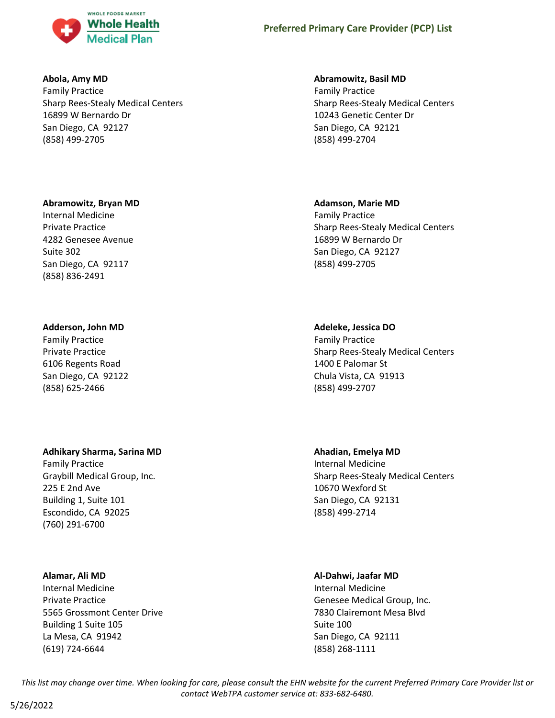

### **Abola, Amy MD**

Family Practice Sharp Rees-Stealy Medical Centers 16899 W Bernardo Dr San Diego, CA 92127 (858) 499-2705

# **Abramowitz, Bryan MD**

Internal Medicine Private Practice 4282 Genesee Avenue Suite 302 San Diego, CA 92117 (858) 836-2491

# **Adderson, John MD**

Family Practice Private Practice 6106 Regents Road San Diego, CA 92122 (858) 625-2466

# **Adhikary Sharma, Sarina MD**

Family Practice Graybill Medical Group, Inc. 225 E 2nd Ave Building 1, Suite 101 Escondido, CA 92025 (760) 291-6700

### **Alamar, Ali MD**

Internal Medicine Private Practice 5565 Grossmont Center Drive Building 1 Suite 105 La Mesa, CA 91942 (619) 724-6644

# **Abramowitz, Basil MD**

Family Practice Sharp Rees-Stealy Medical Centers 10243 Genetic Center Dr San Diego, CA 92121 (858) 499-2704

# **Adamson, Marie MD**

Family Practice Sharp Rees-Stealy Medical Centers 16899 W Bernardo Dr San Diego, CA 92127 (858) 499-2705

# **Adeleke, Jessica DO**

Family Practice Sharp Rees-Stealy Medical Centers 1400 E Palomar St Chula Vista, CA 91913 (858) 499-2707

**Ahadian, Emelya MD**

Internal Medicine Sharp Rees-Stealy Medical Centers 10670 Wexford St San Diego, CA 92131 (858) 499-2714

# **Al-Dahwi, Jaafar MD**

Internal Medicine Genesee Medical Group, Inc. 7830 Clairemont Mesa Blvd Suite 100 San Diego, CA 92111 (858) 268-1111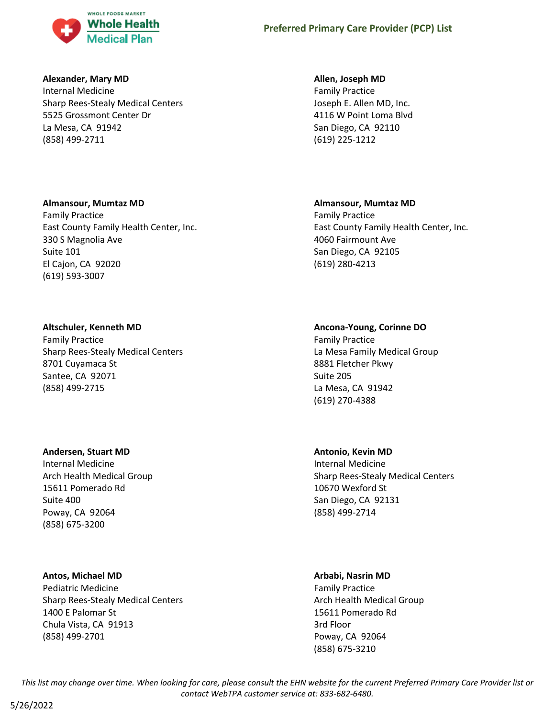

### **Alexander, Mary MD**

Internal Medicine Sharp Rees-Stealy Medical Centers 5525 Grossmont Center Dr La Mesa, CA 91942 (858) 499-2711

### **Allen, Joseph MD**

Family Practice Joseph E. Allen MD, Inc. 4116 W Point Loma Blvd San Diego, CA 92110 (619) 225-1212

### **Almansour, Mumtaz MD**

Family Practice East County Family Health Center, Inc. 330 S Magnolia Ave Suite 101 El Cajon, CA 92020 (619) 593-3007

# **Altschuler, Kenneth MD**

Family Practice Sharp Rees-Stealy Medical Centers 8701 Cuyamaca St Santee, CA 92071 (858) 499-2715

### **Andersen, Stuart MD**

Internal Medicine Arch Health Medical Group 15611 Pomerado Rd Suite 400 Poway, CA 92064 (858) 675-3200

### **Antos, Michael MD**

Pediatric Medicine Sharp Rees-Stealy Medical Centers 1400 E Palomar St Chula Vista, CA 91913 (858) 499-2701

### **Almansour, Mumtaz MD**

Family Practice East County Family Health Center, Inc. 4060 Fairmount Ave San Diego, CA 92105 (619) 280-4213

# **Ancona-Young, Corinne DO**

Family Practice La Mesa Family Medical Group 8881 Fletcher Pkwy Suite 205 La Mesa, CA 91942 (619) 270-4388

### **Antonio, Kevin MD**

Internal Medicine Sharp Rees-Stealy Medical Centers 10670 Wexford St San Diego, CA 92131 (858) 499-2714

### **Arbabi, Nasrin MD**

Family Practice Arch Health Medical Group 15611 Pomerado Rd 3rd Floor Poway, CA 92064 (858) 675-3210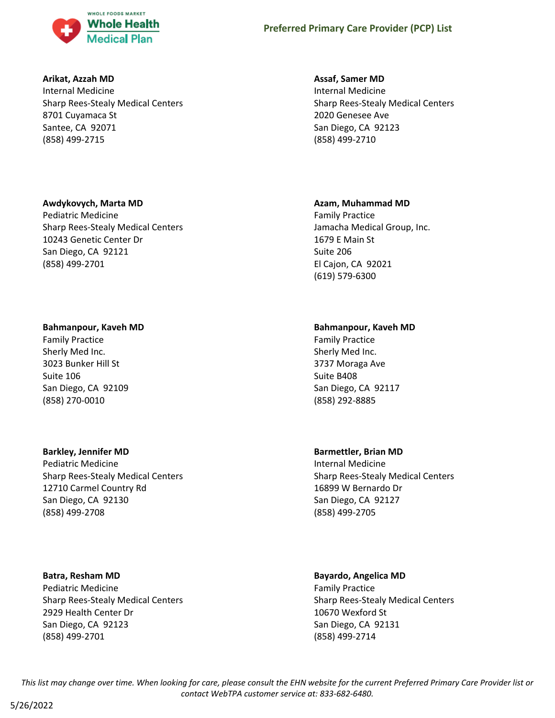

### **Arikat, Azzah MD**

Internal Medicine Sharp Rees-Stealy Medical Centers 8701 Cuyamaca St Santee, CA 92071 (858) 499-2715

# **Awdykovych, Marta MD**

Pediatric Medicine Sharp Rees-Stealy Medical Centers 10243 Genetic Center Dr San Diego, CA 92121 (858) 499-2701

### **Bahmanpour, Kaveh MD**

Family Practice Sherly Med Inc. 3023 Bunker Hill St Suite 106 San Diego, CA 92109 (858) 270-0010

# **Barkley, Jennifer MD**

Pediatric Medicine Sharp Rees-Stealy Medical Centers 12710 Carmel Country Rd San Diego, CA 92130 (858) 499-2708

# **Batra, Resham MD**

Pediatric Medicine Sharp Rees-Stealy Medical Centers 2929 Health Center Dr San Diego, CA 92123 (858) 499-2701

# **Assaf, Samer MD**

Internal Medicine Sharp Rees-Stealy Medical Centers 2020 Genesee Ave San Diego, CA 92123 (858) 499-2710

# **Azam, Muhammad MD**

Family Practice Jamacha Medical Group, Inc. 1679 E Main St Suite 206 El Cajon, CA 92021 (619) 579-6300

# **Bahmanpour, Kaveh MD**

Family Practice Sherly Med Inc. 3737 Moraga Ave Suite B408 San Diego, CA 92117 (858) 292-8885

### **Barmettler, Brian MD**

Internal Medicine Sharp Rees-Stealy Medical Centers 16899 W Bernardo Dr San Diego, CA 92127 (858) 499-2705

# **Bayardo, Angelica MD**

Family Practice Sharp Rees-Stealy Medical Centers 10670 Wexford St San Diego, CA 92131 (858) 499-2714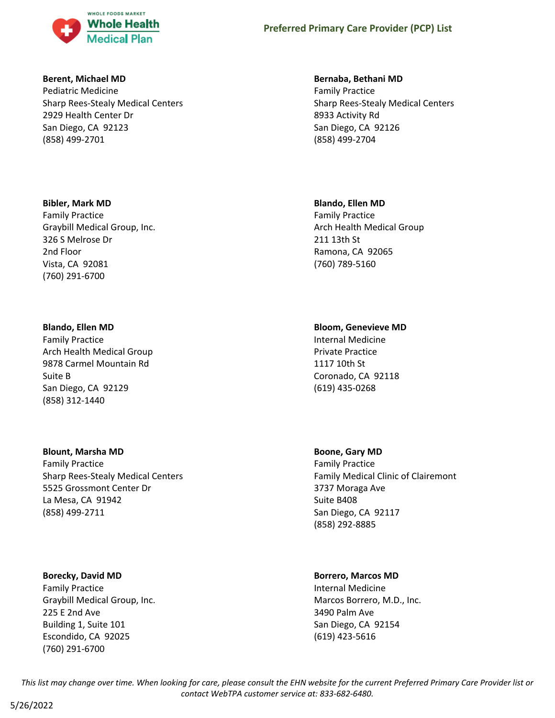

#### **Berent, Michael MD**

Pediatric Medicine Sharp Rees-Stealy Medical Centers 2929 Health Center Dr San Diego, CA 92123 (858) 499-2701

### **Bibler, Mark MD**

Family Practice Graybill Medical Group, Inc. 326 S Melrose Dr 2nd Floor Vista, CA 92081 (760) 291-6700

#### **Blando, Ellen MD**

Family Practice Arch Health Medical Group 9878 Carmel Mountain Rd Suite B San Diego, CA 92129 (858) 312-1440

### **Blount, Marsha MD**

Family Practice Sharp Rees-Stealy Medical Centers 5525 Grossmont Center Dr La Mesa, CA 91942 (858) 499-2711

### **Borecky, David MD**

Family Practice Graybill Medical Group, Inc. 225 E 2nd Ave Building 1, Suite 101 Escondido, CA 92025 (760) 291-6700

#### **Bernaba, Bethani MD**

Family Practice Sharp Rees-Stealy Medical Centers 8933 Activity Rd San Diego, CA 92126 (858) 499-2704

#### **Blando, Ellen MD**

Family Practice Arch Health Medical Group 211 13th St Ramona, CA 92065 (760) 789-5160

### **Bloom, Genevieve MD**

Internal Medicine Private Practice 1117 10th St Coronado, CA 92118 (619) 435-0268

### **Boone, Gary MD**

Family Practice Family Medical Clinic of Clairemont 3737 Moraga Ave Suite B408 San Diego, CA 92117 (858) 292-8885

### **Borrero, Marcos MD**

Internal Medicine Marcos Borrero, M.D., Inc. 3490 Palm Ave San Diego, CA 92154 (619) 423-5616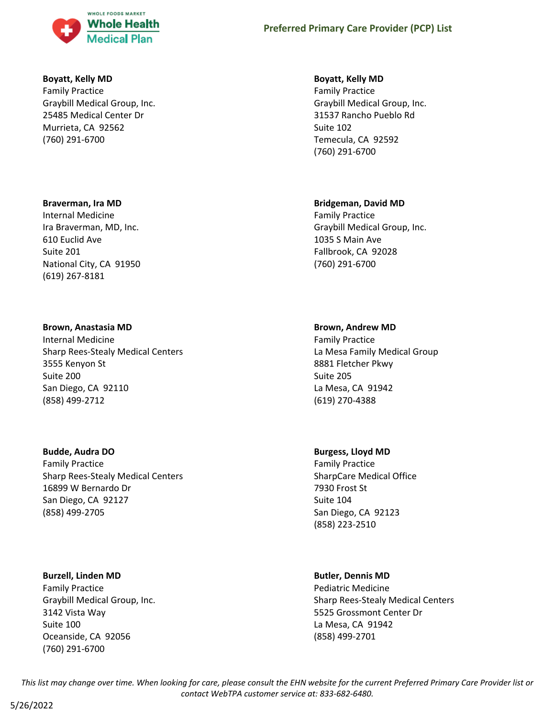

### **Boyatt, Kelly MD**

Family Practice Graybill Medical Group, Inc. 25485 Medical Center Dr Murrieta, CA 92562 (760) 291-6700

#### **Braverman, Ira MD**

Internal Medicine Ira Braverman, MD, Inc. 610 Euclid Ave Suite 201 National City, CA 91950 (619) 267-8181

#### **Brown, Anastasia MD**

Internal Medicine Sharp Rees-Stealy Medical Centers 3555 Kenyon St Suite 200 San Diego, CA 92110 (858) 499-2712

#### **Budde, Audra DO**

Family Practice Sharp Rees-Stealy Medical Centers 16899 W Bernardo Dr San Diego, CA 92127 (858) 499-2705

#### **Burzell, Linden MD**

Family Practice Graybill Medical Group, Inc. 3142 Vista Way Suite 100 Oceanside, CA 92056 (760) 291-6700

#### **Boyatt, Kelly MD**

Family Practice Graybill Medical Group, Inc. 31537 Rancho Pueblo Rd Suite 102 Temecula, CA 92592 (760) 291-6700

### **Bridgeman, David MD**

Family Practice Graybill Medical Group, Inc. 1035 S Main Ave Fallbrook, CA 92028 (760) 291-6700

#### **Brown, Andrew MD**

Family Practice La Mesa Family Medical Group 8881 Fletcher Pkwy Suite 205 La Mesa, CA 91942 (619) 270-4388

### **Burgess, Lloyd MD**

Family Practice SharpCare Medical Office 7930 Frost St Suite 104 San Diego, CA 92123 (858) 223-2510

### **Butler, Dennis MD**

Pediatric Medicine Sharp Rees-Stealy Medical Centers 5525 Grossmont Center Dr La Mesa, CA 91942 (858) 499-2701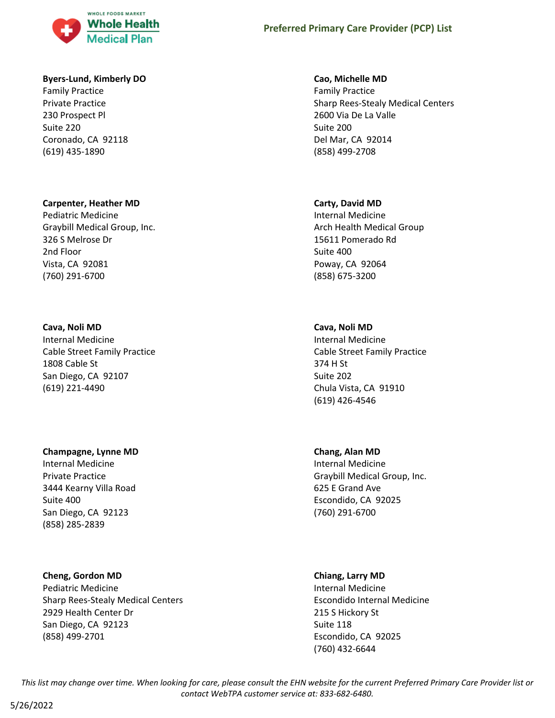

#### **Byers-Lund, Kimberly DO**

Family Practice Private Practice 230 Prospect Pl Suite 220 Coronado, CA 92118 (619) 435-1890

### **Carpenter, Heather MD**

Pediatric Medicine Graybill Medical Group, Inc. 326 S Melrose Dr 2nd Floor Vista, CA 92081 (760) 291-6700

#### **Cava, Noli MD**

Internal Medicine Cable Street Family Practice 1808 Cable St San Diego, CA 92107 (619) 221-4490

### **Champagne, Lynne MD**

Internal Medicine Private Practice 3444 Kearny Villa Road Suite 400 San Diego, CA 92123 (858) 285-2839

### **Cheng, Gordon MD**

Pediatric Medicine Sharp Rees-Stealy Medical Centers 2929 Health Center Dr San Diego, CA 92123 (858) 499-2701

#### **Cao, Michelle MD**

Family Practice Sharp Rees-Stealy Medical Centers 2600 Via De La Valle Suite 200 Del Mar, CA 92014 (858) 499-2708

### **Carty, David MD**

Internal Medicine Arch Health Medical Group 15611 Pomerado Rd Suite 400 Poway, CA 92064 (858) 675-3200

# **Cava, Noli MD**

Internal Medicine Cable Street Family Practice 374 H St Suite 202 Chula Vista, CA 91910 (619) 426-4546

### **Chang, Alan MD**

Internal Medicine Graybill Medical Group, Inc. 625 E Grand Ave Escondido, CA 92025 (760) 291-6700

### **Chiang, Larry MD**

Internal Medicine Escondido Internal Medicine 215 S Hickory St Suite 118 Escondido, CA 92025 (760) 432-6644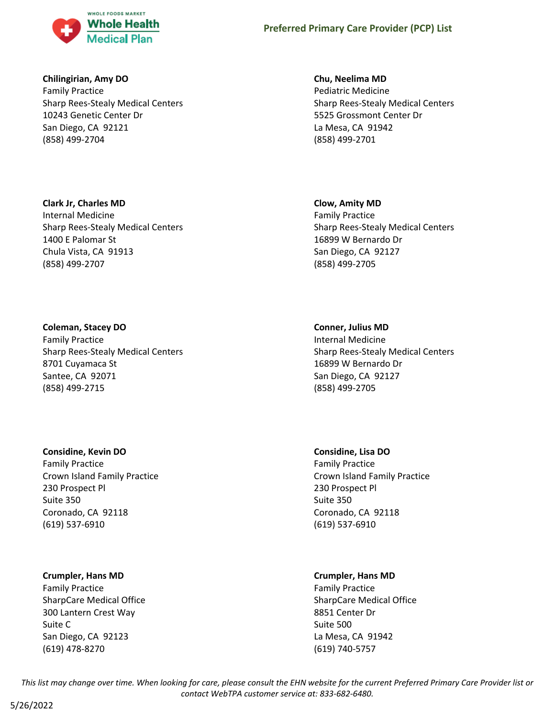

### **Chilingirian, Amy DO**

Family Practice Sharp Rees-Stealy Medical Centers 10243 Genetic Center Dr San Diego, CA 92121 (858) 499-2704

# **Clark Jr, Charles MD**

Internal Medicine Sharp Rees-Stealy Medical Centers 1400 E Palomar St Chula Vista, CA 91913 (858) 499-2707

# **Coleman, Stacey DO**

Family Practice Sharp Rees-Stealy Medical Centers 8701 Cuyamaca St Santee, CA 92071 (858) 499-2715

# **Considine, Kevin DO**

Family Practice Crown Island Family Practice 230 Prospect Pl Suite 350 Coronado, CA 92118 (619) 537-6910

# **Crumpler, Hans MD**

Family Practice SharpCare Medical Office 300 Lantern Crest Way Suite C San Diego, CA 92123 (619) 478-8270

# **Chu, Neelima MD**

Pediatric Medicine Sharp Rees-Stealy Medical Centers 5525 Grossmont Center Dr La Mesa, CA 91942 (858) 499-2701

# **Clow, Amity MD**

Family Practice Sharp Rees-Stealy Medical Centers 16899 W Bernardo Dr San Diego, CA 92127 (858) 499-2705

# **Conner, Julius MD**

Internal Medicine Sharp Rees-Stealy Medical Centers 16899 W Bernardo Dr San Diego, CA 92127 (858) 499-2705

### **Considine, Lisa DO**

Family Practice Crown Island Family Practice 230 Prospect Pl Suite 350 Coronado, CA 92118 (619) 537-6910

# **Crumpler, Hans MD**

Family Practice SharpCare Medical Office 8851 Center Dr Suite 500 La Mesa, CA 91942 (619) 740-5757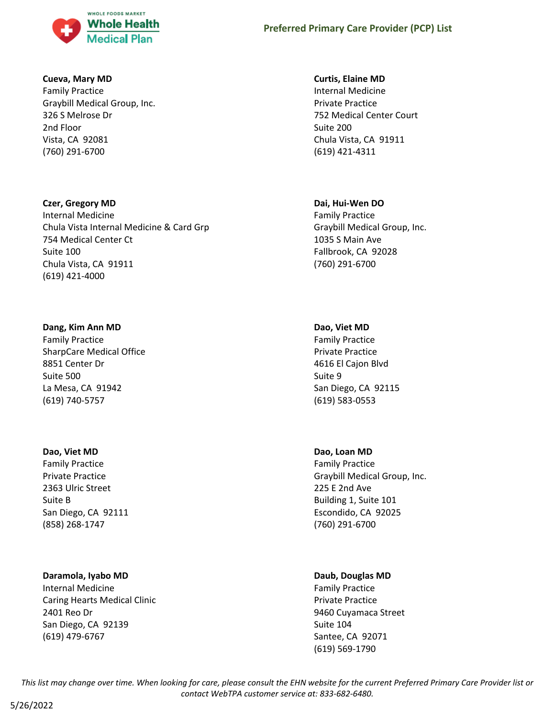

### **Cueva, Mary MD**

Family Practice Graybill Medical Group, Inc. 326 S Melrose Dr 2nd Floor Vista, CA 92081 (760) 291-6700

# **Czer, Gregory MD**

Internal Medicine Chula Vista Internal Medicine & Card Grp 754 Medical Center Ct Suite 100 Chula Vista, CA 91911 (619) 421-4000

# **Dang, Kim Ann MD**

Family Practice SharpCare Medical Office 8851 Center Dr Suite 500 La Mesa, CA 91942 (619) 740-5757

# **Dao, Viet MD**

Family Practice Private Practice 2363 Ulric Street Suite B San Diego, CA 92111 (858) 268-1747

# **Daramola, Iyabo MD**

Internal Medicine Caring Hearts Medical Clinic 2401 Reo Dr San Diego, CA 92139 (619) 479-6767

# **Curtis, Elaine MD**

Internal Medicine Private Practice 752 Medical Center Court Suite 200 Chula Vista, CA 91911 (619) 421-4311

# **Dai, Hui-Wen DO**

Family Practice Graybill Medical Group, Inc. 1035 S Main Ave Fallbrook, CA 92028 (760) 291-6700

# **Dao, Viet MD**

Family Practice Private Practice 4616 El Cajon Blvd Suite 9 San Diego, CA 92115 (619) 583-0553

# **Dao, Loan MD**

Family Practice Graybill Medical Group, Inc. 225 E 2nd Ave Building 1, Suite 101 Escondido, CA 92025 (760) 291-6700

### **Daub, Douglas MD**

Family Practice Private Practice 9460 Cuyamaca Street Suite 104 Santee, CA 92071 (619) 569-1790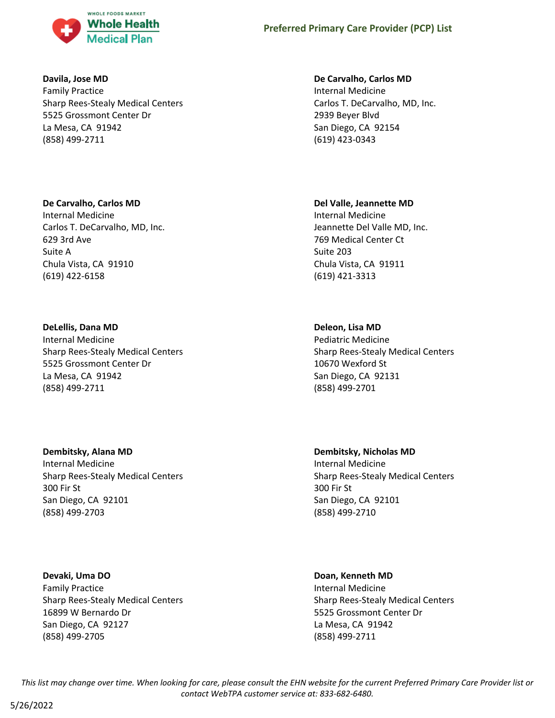

### **Davila, Jose MD**

Family Practice Sharp Rees-Stealy Medical Centers 5525 Grossmont Center Dr La Mesa, CA 91942 (858) 499-2711

### **De Carvalho, Carlos MD**

Internal Medicine Carlos T. DeCarvalho, MD, Inc. 629 3rd Ave Suite A Chula Vista, CA 91910 (619) 422-6158

# **DeLellis, Dana MD**

Internal Medicine Sharp Rees-Stealy Medical Centers 5525 Grossmont Center Dr La Mesa, CA 91942 (858) 499-2711

# **Dembitsky, Alana MD**

Internal Medicine Sharp Rees-Stealy Medical Centers 300 Fir St San Diego, CA 92101 (858) 499-2703

**Devaki, Uma DO** Family Practice Sharp Rees-Stealy Medical Centers 16899 W Bernardo Dr San Diego, CA 92127 (858) 499-2705

### **De Carvalho, Carlos MD**

Internal Medicine Carlos T. DeCarvalho, MD, Inc. 2939 Beyer Blvd San Diego, CA 92154 (619) 423-0343

# **Del Valle, Jeannette MD**

Internal Medicine Jeannette Del Valle MD, Inc. 769 Medical Center Ct Suite 203 Chula Vista, CA 91911 (619) 421-3313

# **Deleon, Lisa MD**

Pediatric Medicine Sharp Rees-Stealy Medical Centers 10670 Wexford St San Diego, CA 92131 (858) 499-2701

**Dembitsky, Nicholas MD** Internal Medicine Sharp Rees-Stealy Medical Centers 300 Fir St San Diego, CA 92101 (858) 499-2710

### **Doan, Kenneth MD**

Internal Medicine Sharp Rees-Stealy Medical Centers 5525 Grossmont Center Dr La Mesa, CA 91942 (858) 499-2711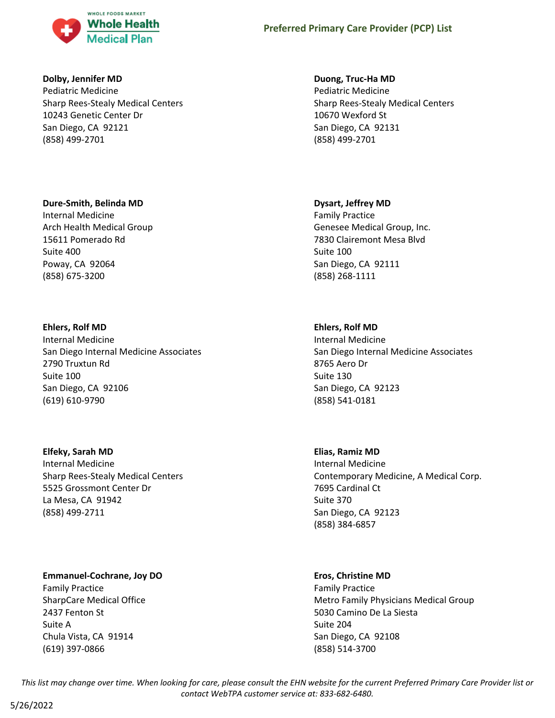

### **Dolby, Jennifer MD**

Pediatric Medicine Sharp Rees-Stealy Medical Centers 10243 Genetic Center Dr San Diego, CA 92121 (858) 499-2701

# **Dure-Smith, Belinda MD**

Internal Medicine Arch Health Medical Group 15611 Pomerado Rd Suite 400 Poway, CA 92064 (858) 675-3200

# **Ehlers, Rolf MD**

Internal Medicine San Diego Internal Medicine Associates 2790 Truxtun Rd Suite 100 San Diego, CA 92106 (619) 610-9790

**Elfeky, Sarah MD** Internal Medicine Sharp Rees-Stealy Medical Centers 5525 Grossmont Center Dr La Mesa, CA 91942 (858) 499-2711

# **Emmanuel-Cochrane, Joy DO**

Family Practice SharpCare Medical Office 2437 Fenton St Suite A Chula Vista, CA 91914 (619) 397-0866

### **Duong, Truc-Ha MD**

Pediatric Medicine Sharp Rees-Stealy Medical Centers 10670 Wexford St San Diego, CA 92131 (858) 499-2701

# **Dysart, Jeffrey MD**

Family Practice Genesee Medical Group, Inc. 7830 Clairemont Mesa Blvd Suite 100 San Diego, CA 92111 (858) 268-1111

# **Ehlers, Rolf MD**

Internal Medicine San Diego Internal Medicine Associates 8765 Aero Dr Suite 130 San Diego, CA 92123 (858) 541-0181

### **Elias, Ramiz MD**

Internal Medicine Contemporary Medicine, A Medical Corp. 7695 Cardinal Ct Suite 370 San Diego, CA 92123 (858) 384-6857

### **Eros, Christine MD**

Family Practice Metro Family Physicians Medical Group 5030 Camino De La Siesta Suite 204 San Diego, CA 92108 (858) 514-3700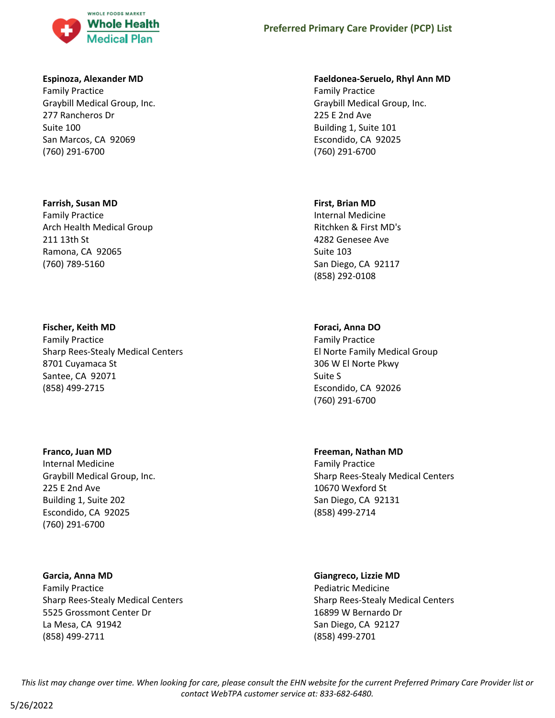

#### **Espinoza, Alexander MD**

Family Practice Graybill Medical Group, Inc. 277 Rancheros Dr Suite 100 San Marcos, CA 92069 (760) 291-6700

#### **Farrish, Susan MD**

Family Practice Arch Health Medical Group 211 13th St Ramona, CA 92065 (760) 789-5160

# **Fischer, Keith MD**

Family Practice Sharp Rees-Stealy Medical Centers 8701 Cuyamaca St Santee, CA 92071 (858) 499-2715

#### **Franco, Juan MD**

Internal Medicine Graybill Medical Group, Inc. 225 E 2nd Ave Building 1, Suite 202 Escondido, CA 92025 (760) 291-6700

#### **Garcia, Anna MD**

Family Practice Sharp Rees-Stealy Medical Centers 5525 Grossmont Center Dr La Mesa, CA 91942 (858) 499-2711

#### **Faeldonea-Seruelo, Rhyl Ann MD**

Family Practice Graybill Medical Group, Inc. 225 E 2nd Ave Building 1, Suite 101 Escondido, CA 92025 (760) 291-6700

#### **First, Brian MD**

Internal Medicine Ritchken & First MD's 4282 Genesee Ave Suite 103 San Diego, CA 92117 (858) 292-0108

#### **Foraci, Anna DO**

Family Practice El Norte Family Medical Group 306 W El Norte Pkwy Suite S Escondido, CA 92026 (760) 291-6700

### **Freeman, Nathan MD**

Family Practice Sharp Rees-Stealy Medical Centers 10670 Wexford St San Diego, CA 92131 (858) 499-2714

#### **Giangreco, Lizzie MD**

Pediatric Medicine Sharp Rees-Stealy Medical Centers 16899 W Bernardo Dr San Diego, CA 92127 (858) 499-2701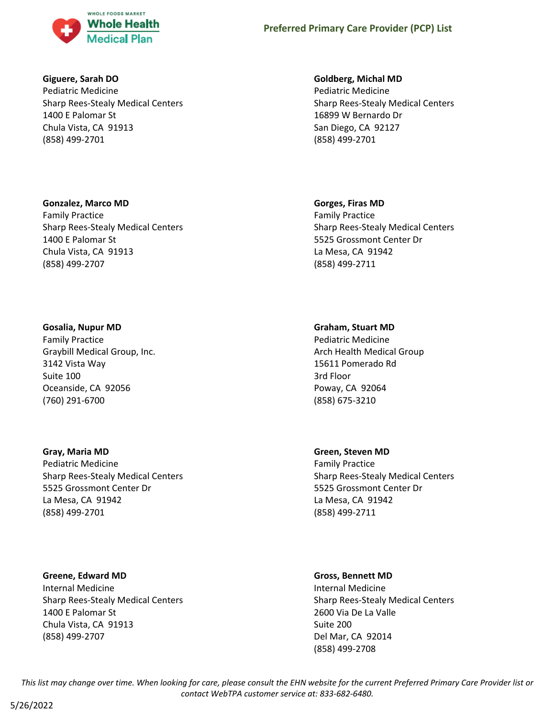

### **Giguere, Sarah DO**

Pediatric Medicine Sharp Rees-Stealy Medical Centers 1400 E Palomar St Chula Vista, CA 91913 (858) 499-2701

# **Gonzalez, Marco MD**

Family Practice Sharp Rees-Stealy Medical Centers 1400 E Palomar St Chula Vista, CA 91913 (858) 499-2707

### **Gosalia, Nupur MD**

Family Practice Graybill Medical Group, Inc. 3142 Vista Way Suite 100 Oceanside, CA 92056 (760) 291-6700

### **Gray, Maria MD**

Pediatric Medicine Sharp Rees-Stealy Medical Centers 5525 Grossmont Center Dr La Mesa, CA 91942 (858) 499-2701

# **Greene, Edward MD**

Internal Medicine Sharp Rees-Stealy Medical Centers 1400 E Palomar St Chula Vista, CA 91913 (858) 499-2707

### **Goldberg, Michal MD**

Pediatric Medicine Sharp Rees-Stealy Medical Centers 16899 W Bernardo Dr San Diego, CA 92127 (858) 499-2701

### **Gorges, Firas MD**

Family Practice Sharp Rees-Stealy Medical Centers 5525 Grossmont Center Dr La Mesa, CA 91942 (858) 499-2711

### **Graham, Stuart MD**

Pediatric Medicine Arch Health Medical Group 15611 Pomerado Rd 3rd Floor Poway, CA 92064 (858) 675-3210

### **Green, Steven MD**

Family Practice Sharp Rees-Stealy Medical Centers 5525 Grossmont Center Dr La Mesa, CA 91942 (858) 499-2711

#### **Gross, Bennett MD**

Internal Medicine Sharp Rees-Stealy Medical Centers 2600 Via De La Valle Suite 200 Del Mar, CA 92014 (858) 499-2708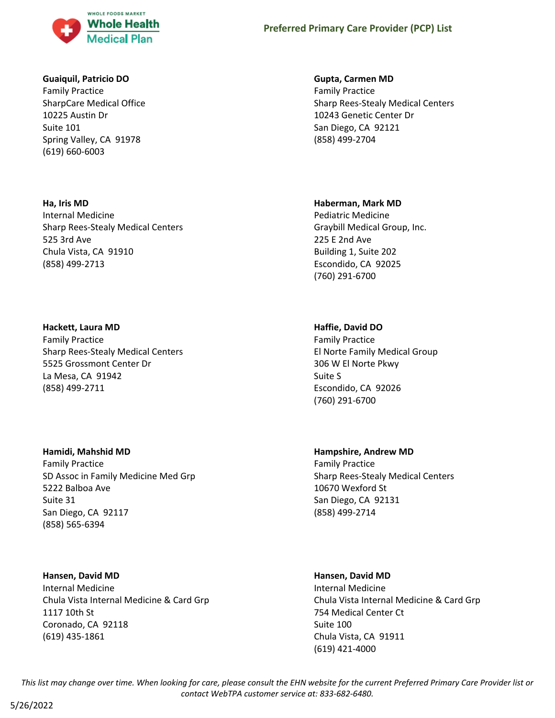

### **Guaiquil, Patricio DO**

Family Practice SharpCare Medical Office 10225 Austin Dr Suite 101 Spring Valley, CA 91978 (619) 660-6003

# **Ha, Iris MD**

Internal Medicine Sharp Rees-Stealy Medical Centers 525 3rd Ave Chula Vista, CA 91910 (858) 499-2713

# **Hackett, Laura MD**

Family Practice Sharp Rees-Stealy Medical Centers 5525 Grossmont Center Dr La Mesa, CA 91942 (858) 499-2711

# **Hamidi, Mahshid MD**

Family Practice SD Assoc in Family Medicine Med Grp 5222 Balboa Ave Suite 31 San Diego, CA 92117 (858) 565-6394

# **Hansen, David MD**

Internal Medicine Chula Vista Internal Medicine & Card Grp 1117 10th St Coronado, CA 92118 (619) 435-1861

# **Gupta, Carmen MD**

Family Practice Sharp Rees-Stealy Medical Centers 10243 Genetic Center Dr San Diego, CA 92121 (858) 499-2704

# **Haberman, Mark MD**

Pediatric Medicine Graybill Medical Group, Inc. 225 E 2nd Ave Building 1, Suite 202 Escondido, CA 92025 (760) 291-6700

# **Haffie, David DO**

Family Practice El Norte Family Medical Group 306 W El Norte Pkwy Suite S Escondido, CA 92026 (760) 291-6700

# **Hampshire, Andrew MD**

Family Practice Sharp Rees-Stealy Medical Centers 10670 Wexford St San Diego, CA 92131 (858) 499-2714

# **Hansen, David MD**

Internal Medicine Chula Vista Internal Medicine & Card Grp 754 Medical Center Ct Suite 100 Chula Vista, CA 91911 (619) 421-4000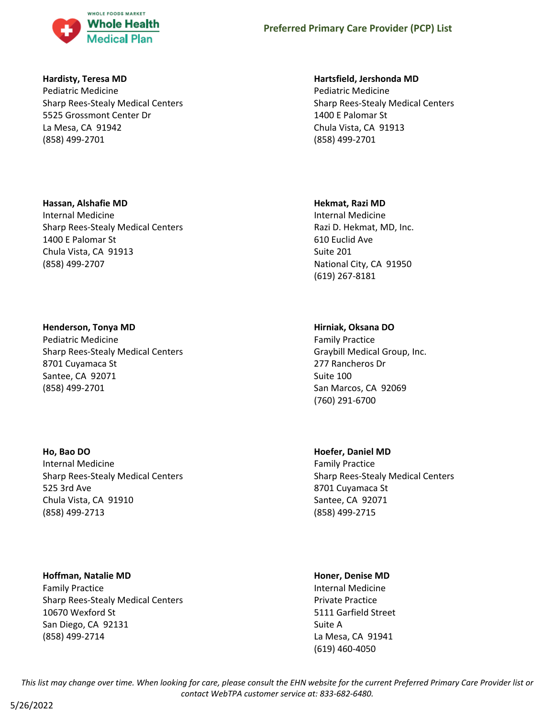

### **Hardisty, Teresa MD**

Pediatric Medicine Sharp Rees-Stealy Medical Centers 5525 Grossmont Center Dr La Mesa, CA 91942 (858) 499-2701

# **Hassan, Alshafie MD**

Internal Medicine Sharp Rees-Stealy Medical Centers 1400 E Palomar St Chula Vista, CA 91913 (858) 499-2707

# **Henderson, Tonya MD**

Pediatric Medicine Sharp Rees-Stealy Medical Centers 8701 Cuyamaca St Santee, CA 92071 (858) 499-2701

### **Ho, Bao DO**

Internal Medicine Sharp Rees-Stealy Medical Centers 525 3rd Ave Chula Vista, CA 91910 (858) 499-2713

### **Hoffman, Natalie MD**

Family Practice Sharp Rees-Stealy Medical Centers 10670 Wexford St San Diego, CA 92131 (858) 499-2714

# **Hartsfield, Jershonda MD**

Pediatric Medicine Sharp Rees-Stealy Medical Centers 1400 E Palomar St Chula Vista, CA 91913 (858) 499-2701

# **Hekmat, Razi MD**

Internal Medicine Razi D. Hekmat, MD, Inc. 610 Euclid Ave Suite 201 National City, CA 91950 (619) 267-8181

# **Hirniak, Oksana DO**

Family Practice Graybill Medical Group, Inc. 277 Rancheros Dr Suite 100 San Marcos, CA 92069 (760) 291-6700

# **Hoefer, Daniel MD**

Family Practice Sharp Rees-Stealy Medical Centers 8701 Cuyamaca St Santee, CA 92071 (858) 499-2715

# **Honer, Denise MD**

Internal Medicine Private Practice 5111 Garfield Street Suite A La Mesa, CA 91941 (619) 460-4050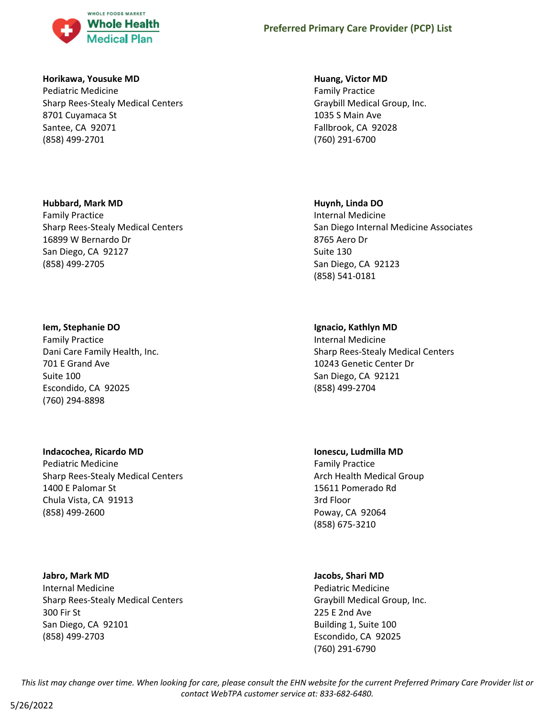

#### **Horikawa, Yousuke MD**

Pediatric Medicine Sharp Rees-Stealy Medical Centers 8701 Cuyamaca St Santee, CA 92071 (858) 499-2701

#### **Hubbard, Mark MD**

Family Practice Sharp Rees-Stealy Medical Centers 16899 W Bernardo Dr San Diego, CA 92127 (858) 499-2705

#### **Iem, Stephanie DO**

Family Practice Dani Care Family Health, Inc. 701 E Grand Ave Suite 100 Escondido, CA 92025 (760) 294-8898

### **Indacochea, Ricardo MD**

Pediatric Medicine Sharp Rees-Stealy Medical Centers 1400 E Palomar St Chula Vista, CA 91913 (858) 499-2600

### **Jabro, Mark MD**

Internal Medicine Sharp Rees-Stealy Medical Centers 300 Fir St San Diego, CA 92101 (858) 499-2703

#### **Huang, Victor MD**

Family Practice Graybill Medical Group, Inc. 1035 S Main Ave Fallbrook, CA 92028 (760) 291-6700

### **Huynh, Linda DO**

Internal Medicine San Diego Internal Medicine Associates 8765 Aero Dr Suite 130 San Diego, CA 92123 (858) 541-0181

# **Ignacio, Kathlyn MD**

Internal Medicine Sharp Rees-Stealy Medical Centers 10243 Genetic Center Dr San Diego, CA 92121 (858) 499-2704

#### **Ionescu, Ludmilla MD**

Family Practice Arch Health Medical Group 15611 Pomerado Rd 3rd Floor Poway, CA 92064 (858) 675-3210

### **Jacobs, Shari MD**

Pediatric Medicine Graybill Medical Group, Inc. 225 E 2nd Ave Building 1, Suite 100 Escondido, CA 92025 (760) 291-6790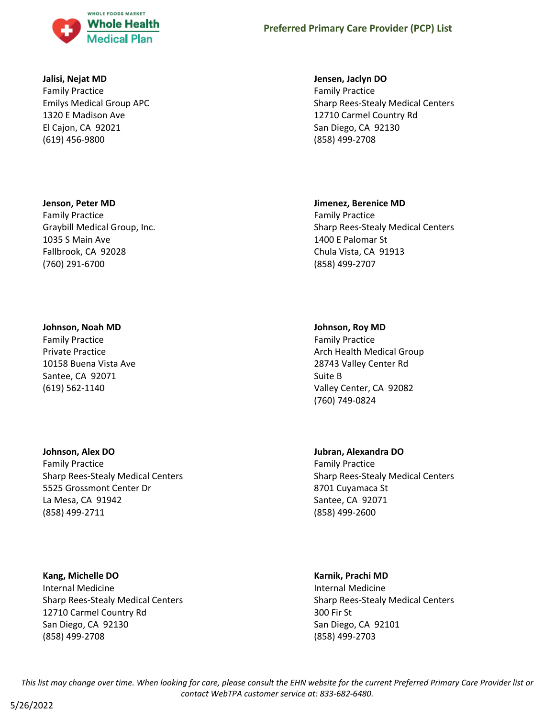

#### **Jalisi, Nejat MD**

Family Practice Emilys Medical Group APC 1320 E Madison Ave El Cajon, CA 92021 (619) 456-9800

#### **Jenson, Peter MD**

Family Practice Graybill Medical Group, Inc. 1035 S Main Ave Fallbrook, CA 92028 (760) 291-6700

#### **Johnson, Noah MD**

Family Practice Private Practice 10158 Buena Vista Ave Santee, CA 92071 (619) 562-1140

# **Johnson, Alex DO**

Family Practice Sharp Rees-Stealy Medical Centers 5525 Grossmont Center Dr La Mesa, CA 91942 (858) 499-2711

**Kang, Michelle DO** Internal Medicine Sharp Rees-Stealy Medical Centers 12710 Carmel Country Rd San Diego, CA 92130 (858) 499-2708

#### **Jensen, Jaclyn DO**

Family Practice Sharp Rees-Stealy Medical Centers 12710 Carmel Country Rd San Diego, CA 92130 (858) 499-2708

#### **Jimenez, Berenice MD**

Family Practice Sharp Rees-Stealy Medical Centers 1400 E Palomar St Chula Vista, CA 91913 (858) 499-2707

### **Johnson, Roy MD**

Family Practice Arch Health Medical Group 28743 Valley Center Rd Suite B Valley Center, CA 92082 (760) 749-0824

# **Jubran, Alexandra DO**

Family Practice Sharp Rees-Stealy Medical Centers 8701 Cuyamaca St Santee, CA 92071 (858) 499-2600

#### **Karnik, Prachi MD**

Internal Medicine Sharp Rees-Stealy Medical Centers 300 Fir St San Diego, CA 92101 (858) 499-2703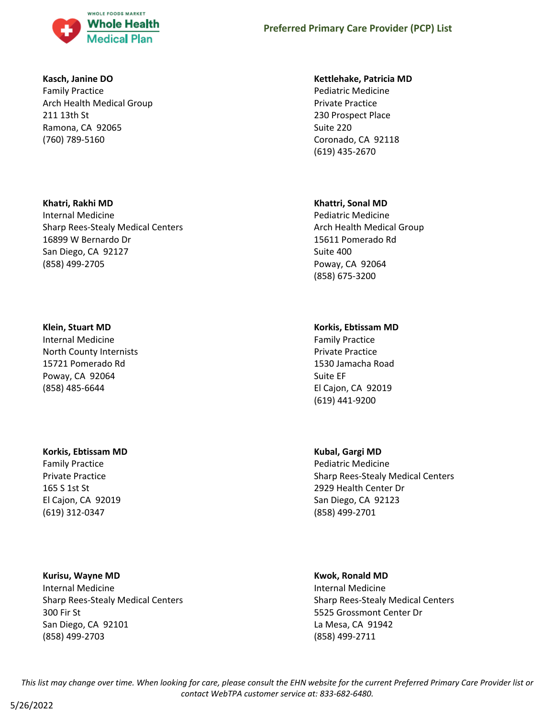

### **Kasch, Janine DO**

Family Practice Arch Health Medical Group 211 13th St Ramona, CA 92065 (760) 789-5160

# **Khatri, Rakhi MD**

Internal Medicine Sharp Rees-Stealy Medical Centers 16899 W Bernardo Dr San Diego, CA 92127 (858) 499-2705

### **Klein, Stuart MD**

Internal Medicine North County Internists 15721 Pomerado Rd Poway, CA 92064 (858) 485-6644

# **Korkis, Ebtissam MD**

Family Practice Private Practice 165 S 1st St El Cajon, CA 92019 (619) 312-0347

(858) 499-2703

**Kurisu, Wayne MD** Internal Medicine Sharp Rees-Stealy Medical Centers 300 Fir St San Diego, CA 92101

### **Kettlehake, Patricia MD**

Pediatric Medicine Private Practice 230 Prospect Place Suite 220 Coronado, CA 92118 (619) 435-2670

# **Khattri, Sonal MD**

Pediatric Medicine Arch Health Medical Group 15611 Pomerado Rd Suite 400 Poway, CA 92064 (858) 675-3200

# **Korkis, Ebtissam MD**

Family Practice Private Practice 1530 Jamacha Road Suite EF El Cajon, CA 92019 (619) 441-9200

# **Kubal, Gargi MD**

Pediatric Medicine Sharp Rees-Stealy Medical Centers 2929 Health Center Dr San Diego, CA 92123 (858) 499-2701

# **Kwok, Ronald MD**

Internal Medicine Sharp Rees-Stealy Medical Centers 5525 Grossmont Center Dr La Mesa, CA 91942 (858) 499-2711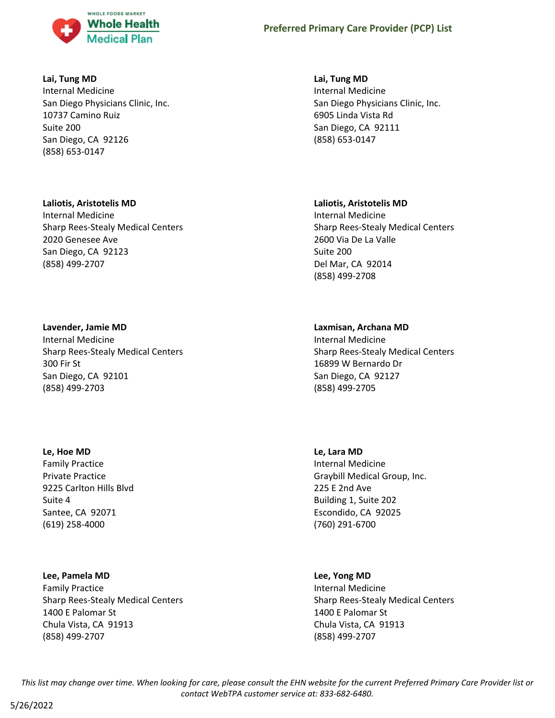

### **Lai, Tung MD**

Internal Medicine San Diego Physicians Clinic, Inc. 10737 Camino Ruiz Suite 200 San Diego, CA 92126 (858) 653-0147

# **Laliotis, Aristotelis MD**

Internal Medicine Sharp Rees-Stealy Medical Centers 2020 Genesee Ave San Diego, CA 92123 (858) 499-2707

# **Lavender, Jamie MD**

Internal Medicine Sharp Rees-Stealy Medical Centers 300 Fir St San Diego, CA 92101 (858) 499-2703

### **Le, Hoe MD**

Family Practice Private Practice 9225 Carlton Hills Blvd Suite 4 Santee, CA 92071 (619) 258-4000

### **Lee, Pamela MD**

Family Practice Sharp Rees-Stealy Medical Centers 1400 E Palomar St Chula Vista, CA 91913 (858) 499-2707

**Lai, Tung MD** Internal Medicine San Diego Physicians Clinic, Inc. 6905 Linda Vista Rd San Diego, CA 92111 (858) 653-0147

# **Laliotis, Aristotelis MD**

Internal Medicine Sharp Rees-Stealy Medical Centers 2600 Via De La Valle Suite 200 Del Mar, CA 92014 (858) 499-2708

# **Laxmisan, Archana MD**

Internal Medicine Sharp Rees-Stealy Medical Centers 16899 W Bernardo Dr San Diego, CA 92127 (858) 499-2705

**Le, Lara MD** Internal Medicine Graybill Medical Group, Inc. 225 E 2nd Ave Building 1, Suite 202 Escondido, CA 92025 (760) 291-6700

# **Lee, Yong MD** Internal Medicine Sharp Rees-Stealy Medical Centers 1400 E Palomar St Chula Vista, CA 91913 (858) 499-2707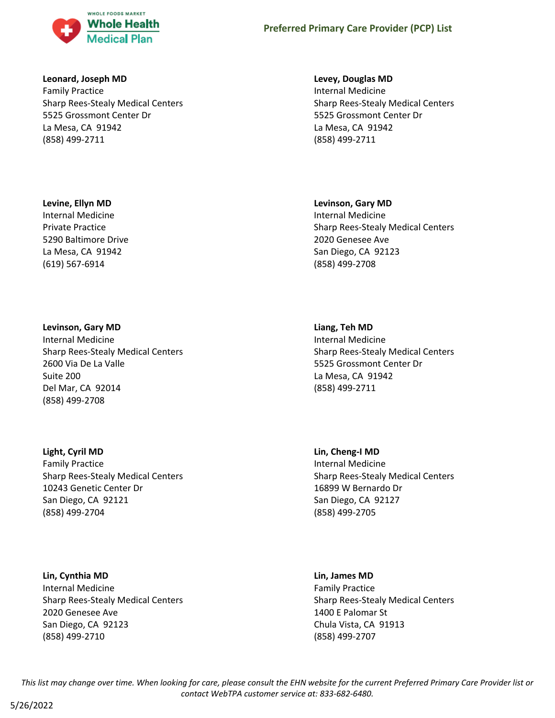

### **Leonard, Joseph MD**

Family Practice Sharp Rees-Stealy Medical Centers 5525 Grossmont Center Dr La Mesa, CA 91942 (858) 499-2711

#### **Levine, Ellyn MD**

Internal Medicine Private Practice 5290 Baltimore Drive La Mesa, CA 91942 (619) 567-6914

#### **Levinson, Gary MD**

Internal Medicine Sharp Rees-Stealy Medical Centers 2600 Via De La Valle Suite 200 Del Mar, CA 92014 (858) 499-2708

### **Light, Cyril MD**

Family Practice Sharp Rees-Stealy Medical Centers 10243 Genetic Center Dr San Diego, CA 92121 (858) 499-2704

### **Lin, Cynthia MD**

Internal Medicine Sharp Rees-Stealy Medical Centers 2020 Genesee Ave San Diego, CA 92123 (858) 499-2710

#### **Levey, Douglas MD**

Internal Medicine Sharp Rees-Stealy Medical Centers 5525 Grossmont Center Dr La Mesa, CA 91942 (858) 499-2711

#### **Levinson, Gary MD**

Internal Medicine Sharp Rees-Stealy Medical Centers 2020 Genesee Ave San Diego, CA 92123 (858) 499-2708

# **Liang, Teh MD**

Internal Medicine Sharp Rees-Stealy Medical Centers 5525 Grossmont Center Dr La Mesa, CA 91942 (858) 499-2711

# **Lin, Cheng-I MD** Internal Medicine Sharp Rees-Stealy Medical Centers 16899 W Bernardo Dr San Diego, CA 92127 (858) 499-2705

### **Lin, James MD**

Family Practice Sharp Rees-Stealy Medical Centers 1400 E Palomar St Chula Vista, CA 91913 (858) 499-2707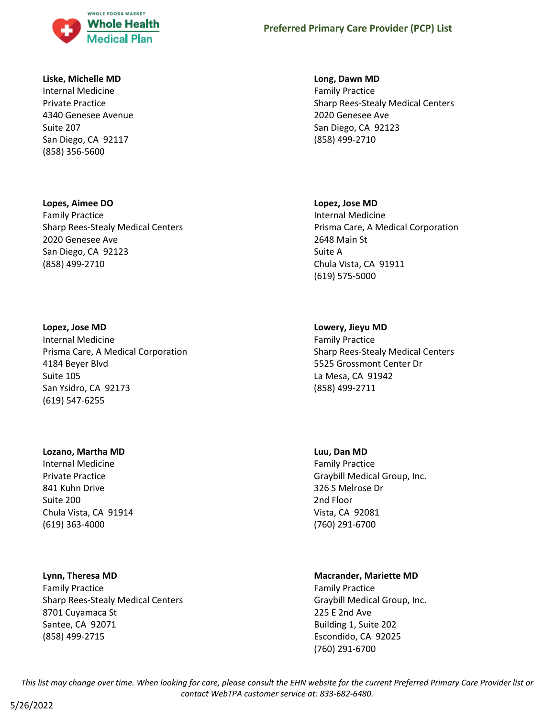

#### **Liske, Michelle MD**

Internal Medicine Private Practice 4340 Genesee Avenue Suite 207 San Diego, CA 92117 (858) 356-5600

# **Lopes, Aimee DO** Family Practice Sharp Rees-Stealy Medical Centers 2020 Genesee Ave San Diego, CA 92123 (858) 499-2710

### **Lopez, Jose MD**

Internal Medicine Prisma Care, A Medical Corporation 4184 Beyer Blvd Suite 105 San Ysidro, CA 92173 (619) 547-6255

### **Lozano, Martha MD**

Internal Medicine Private Practice 841 Kuhn Drive Suite 200 Chula Vista, CA 91914 (619) 363-4000

### **Lynn, Theresa MD**

Family Practice Sharp Rees-Stealy Medical Centers 8701 Cuyamaca St Santee, CA 92071 (858) 499-2715

#### **Long, Dawn MD**

Family Practice Sharp Rees-Stealy Medical Centers 2020 Genesee Ave San Diego, CA 92123 (858) 499-2710

#### **Lopez, Jose MD**

Internal Medicine Prisma Care, A Medical Corporation 2648 Main St Suite A Chula Vista, CA 91911 (619) 575-5000

### **Lowery, Jieyu MD**

Family Practice Sharp Rees-Stealy Medical Centers 5525 Grossmont Center Dr La Mesa, CA 91942 (858) 499-2711

#### **Luu, Dan MD**

Family Practice Graybill Medical Group, Inc. 326 S Melrose Dr 2nd Floor Vista, CA 92081 (760) 291-6700

### **Macrander, Mariette MD**

Family Practice Graybill Medical Group, Inc. 225 E 2nd Ave Building 1, Suite 202 Escondido, CA 92025 (760) 291-6700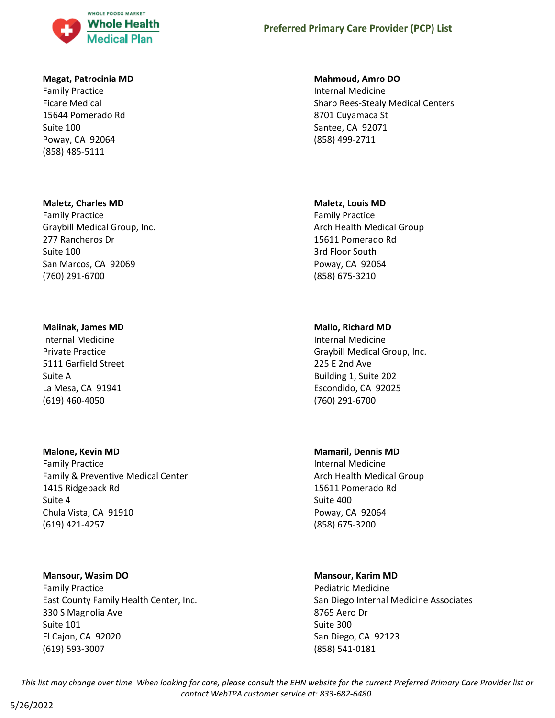

#### **Magat, Patrocinia MD**

Family Practice Ficare Medical 15644 Pomerado Rd Suite 100 Poway, CA 92064 (858) 485-5111

#### **Maletz, Charles MD**

Family Practice Graybill Medical Group, Inc. 277 Rancheros Dr Suite 100 San Marcos, CA 92069 (760) 291-6700

#### **Malinak, James MD**

Internal Medicine Private Practice 5111 Garfield Street Suite A La Mesa, CA 91941 (619) 460-4050

# **Malone, Kevin MD**

Family Practice Family & Preventive Medical Center 1415 Ridgeback Rd Suite 4 Chula Vista, CA 91910 (619) 421-4257

#### **Mansour, Wasim DO**

Family Practice East County Family Health Center, Inc. 330 S Magnolia Ave Suite 101 El Cajon, CA 92020 (619) 593-3007

### **Mahmoud, Amro DO**

Internal Medicine Sharp Rees-Stealy Medical Centers 8701 Cuyamaca St Santee, CA 92071 (858) 499-2711

#### **Maletz, Louis MD**

Family Practice Arch Health Medical Group 15611 Pomerado Rd 3rd Floor South Poway, CA 92064 (858) 675-3210

### **Mallo, Richard MD**

Internal Medicine Graybill Medical Group, Inc. 225 E 2nd Ave Building 1, Suite 202 Escondido, CA 92025 (760) 291-6700

#### **Mamaril, Dennis MD**

Internal Medicine Arch Health Medical Group 15611 Pomerado Rd Suite 400 Poway, CA 92064 (858) 675-3200

### **Mansour, Karim MD**

Pediatric Medicine San Diego Internal Medicine Associates 8765 Aero Dr Suite 300 San Diego, CA 92123 (858) 541-0181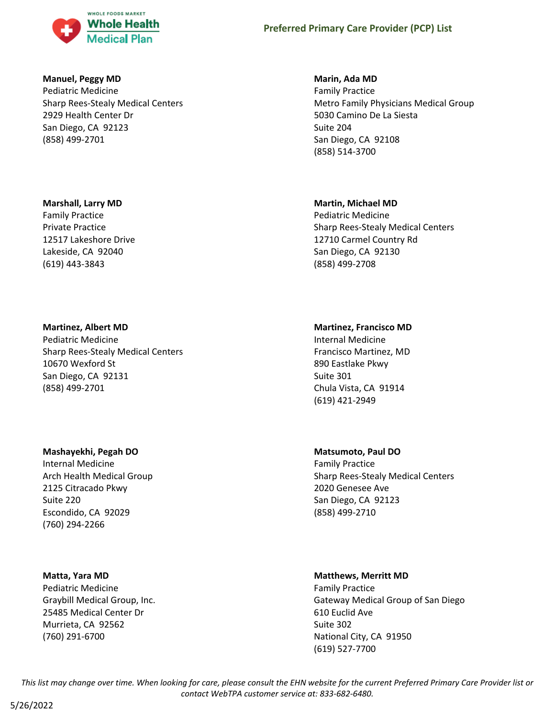

### **Manuel, Peggy MD**

Pediatric Medicine Sharp Rees-Stealy Medical Centers 2929 Health Center Dr San Diego, CA 92123 (858) 499-2701

#### **Marshall, Larry MD**

Family Practice Private Practice 12517 Lakeshore Drive Lakeside, CA 92040 (619) 443-3843

### **Martinez, Albert MD**

Pediatric Medicine Sharp Rees-Stealy Medical Centers 10670 Wexford St San Diego, CA 92131 (858) 499-2701

### **Mashayekhi, Pegah DO**

Internal Medicine Arch Health Medical Group 2125 Citracado Pkwy Suite 220 Escondido, CA 92029 (760) 294-2266

#### **Matta, Yara MD**

Pediatric Medicine Graybill Medical Group, Inc. 25485 Medical Center Dr Murrieta, CA 92562 (760) 291-6700

#### **Marin, Ada MD**

Family Practice Metro Family Physicians Medical Group 5030 Camino De La Siesta Suite 204 San Diego, CA 92108 (858) 514-3700

#### **Martin, Michael MD**

Pediatric Medicine Sharp Rees-Stealy Medical Centers 12710 Carmel Country Rd San Diego, CA 92130 (858) 499-2708

#### **Martinez, Francisco MD**

Internal Medicine Francisco Martinez, MD 890 Eastlake Pkwy Suite 301 Chula Vista, CA 91914 (619) 421-2949

#### **Matsumoto, Paul DO**

Family Practice Sharp Rees-Stealy Medical Centers 2020 Genesee Ave San Diego, CA 92123 (858) 499-2710

#### **Matthews, Merritt MD**

Family Practice Gateway Medical Group of San Diego 610 Euclid Ave Suite 302 National City, CA 91950 (619) 527-7700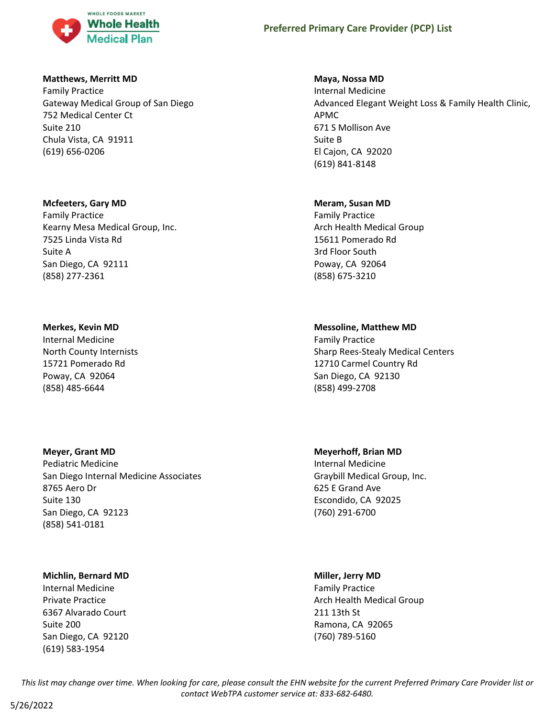

#### **Matthews, Merritt MD**

Family Practice Gateway Medical Group of San Diego 752 Medical Center Ct Suite 210 Chula Vista, CA 91911 (619) 656-0206

#### **Mcfeeters, Gary MD**

Family Practice Kearny Mesa Medical Group, Inc. 7525 Linda Vista Rd Suite A San Diego, CA 92111 (858) 277-2361

#### **Merkes, Kevin MD**

Internal Medicine North County Internists 15721 Pomerado Rd Poway, CA 92064 (858) 485-6644

### **Meyer, Grant MD**

Pediatric Medicine San Diego Internal Medicine Associates 8765 Aero Dr Suite 130 San Diego, CA 92123 (858) 541-0181

### **Michlin, Bernard MD**

Internal Medicine Private Practice 6367 Alvarado Court Suite 200 San Diego, CA 92120 (619) 583-1954

#### **Maya, Nossa MD**

Internal Medicine Advanced Elegant Weight Loss & Family Health Clinic, APMC 671 S Mollison Ave Suite B El Cajon, CA 92020 (619) 841-8148

#### **Meram, Susan MD**

Family Practice Arch Health Medical Group 15611 Pomerado Rd 3rd Floor South Poway, CA 92064 (858) 675-3210

# **Messoline, Matthew MD**

Family Practice Sharp Rees-Stealy Medical Centers 12710 Carmel Country Rd San Diego, CA 92130 (858) 499-2708

### **Meyerhoff, Brian MD**

Internal Medicine Graybill Medical Group, Inc. 625 E Grand Ave Escondido, CA 92025 (760) 291-6700

### **Miller, Jerry MD**

Family Practice Arch Health Medical Group 211 13th St Ramona, CA 92065 (760) 789-5160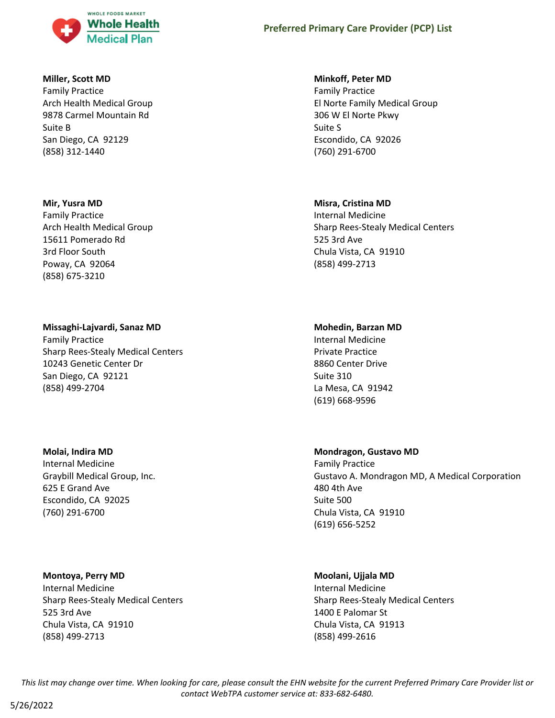

### **Miller, Scott MD**

Family Practice Arch Health Medical Group 9878 Carmel Mountain Rd Suite B San Diego, CA 92129 (858) 312-1440

### **Mir, Yusra MD**

Family Practice Arch Health Medical Group 15611 Pomerado Rd 3rd Floor South Poway, CA 92064 (858) 675-3210

# **Missaghi-Lajvardi, Sanaz MD**

Family Practice Sharp Rees-Stealy Medical Centers 10243 Genetic Center Dr San Diego, CA 92121 (858) 499-2704

### **Molai, Indira MD**

Internal Medicine Graybill Medical Group, Inc. 625 E Grand Ave Escondido, CA 92025 (760) 291-6700

### **Montoya, Perry MD**

Internal Medicine Sharp Rees-Stealy Medical Centers 525 3rd Ave Chula Vista, CA 91910 (858) 499-2713

### **Minkoff, Peter MD**

Family Practice El Norte Family Medical Group 306 W El Norte Pkwy Suite S Escondido, CA 92026 (760) 291-6700

# **Misra, Cristina MD**

Internal Medicine Sharp Rees-Stealy Medical Centers 525 3rd Ave Chula Vista, CA 91910 (858) 499-2713

# **Mohedin, Barzan MD**

Internal Medicine Private Practice 8860 Center Drive Suite 310 La Mesa, CA 91942 (619) 668-9596

# **Mondragon, Gustavo MD**

Family Practice Gustavo A. Mondragon MD, A Medical Corporation 480 4th Ave Suite 500 Chula Vista, CA 91910 (619) 656-5252

### **Moolani, Ujjala MD**

Internal Medicine Sharp Rees-Stealy Medical Centers 1400 E Palomar St Chula Vista, CA 91913 (858) 499-2616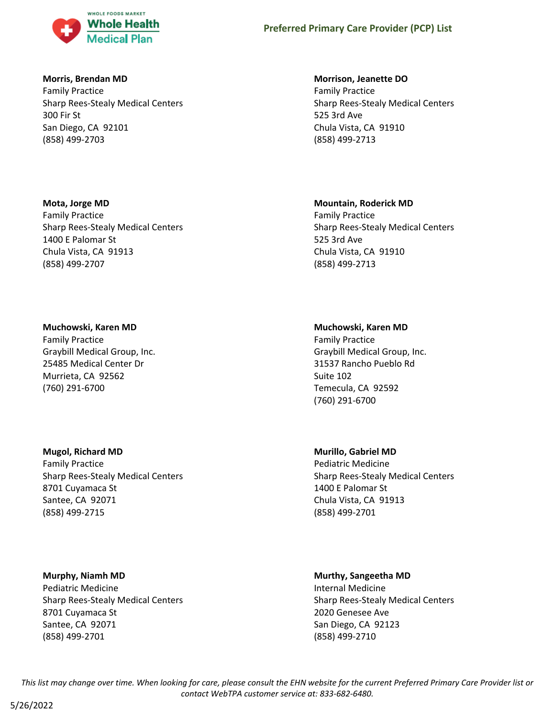

### **Morris, Brendan MD**

Family Practice Sharp Rees-Stealy Medical Centers 300 Fir St San Diego, CA 92101 (858) 499-2703

### **Mota, Jorge MD**

Family Practice Sharp Rees-Stealy Medical Centers 1400 E Palomar St Chula Vista, CA 91913 (858) 499-2707

### **Muchowski, Karen MD**

Family Practice Graybill Medical Group, Inc. 25485 Medical Center Dr Murrieta, CA 92562 (760) 291-6700

# **Mugol, Richard MD**

Family Practice Sharp Rees-Stealy Medical Centers 8701 Cuyamaca St Santee, CA 92071 (858) 499-2715

**Murphy, Niamh MD** Pediatric Medicine Sharp Rees-Stealy Medical Centers 8701 Cuyamaca St Santee, CA 92071 (858) 499-2701

#### **Morrison, Jeanette DO**

Family Practice Sharp Rees-Stealy Medical Centers 525 3rd Ave Chula Vista, CA 91910 (858) 499-2713

### **Mountain, Roderick MD**

Family Practice Sharp Rees-Stealy Medical Centers 525 3rd Ave Chula Vista, CA 91910 (858) 499-2713

# **Muchowski, Karen MD**

Family Practice Graybill Medical Group, Inc. 31537 Rancho Pueblo Rd Suite 102 Temecula, CA 92592 (760) 291-6700

### **Murillo, Gabriel MD**

Pediatric Medicine Sharp Rees-Stealy Medical Centers 1400 E Palomar St Chula Vista, CA 91913 (858) 499-2701

### **Murthy, Sangeetha MD**

Internal Medicine Sharp Rees-Stealy Medical Centers 2020 Genesee Ave San Diego, CA 92123 (858) 499-2710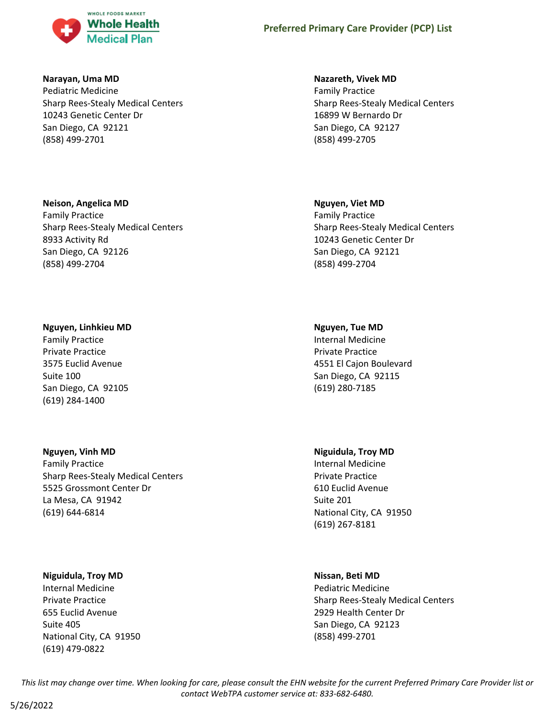

### **Narayan, Uma MD**

Pediatric Medicine Sharp Rees-Stealy Medical Centers 10243 Genetic Center Dr San Diego, CA 92121 (858) 499-2701

### **Neison, Angelica MD**

Family Practice Sharp Rees-Stealy Medical Centers 8933 Activity Rd San Diego, CA 92126 (858) 499-2704

# **Nguyen, Linhkieu MD**

Family Practice Private Practice 3575 Euclid Avenue Suite 100 San Diego, CA 92105 (619) 284-1400

# **Nguyen, Vinh MD**

Family Practice Sharp Rees-Stealy Medical Centers 5525 Grossmont Center Dr La Mesa, CA 91942 (619) 644-6814

### **Niguidula, Troy MD**

Internal Medicine Private Practice 655 Euclid Avenue Suite 405 National City, CA 91950 (619) 479-0822

### **Nazareth, Vivek MD**

Family Practice Sharp Rees-Stealy Medical Centers 16899 W Bernardo Dr San Diego, CA 92127 (858) 499-2705

### **Nguyen, Viet MD**

Family Practice Sharp Rees-Stealy Medical Centers 10243 Genetic Center Dr San Diego, CA 92121 (858) 499-2704

# **Nguyen, Tue MD**

Internal Medicine Private Practice 4551 El Cajon Boulevard San Diego, CA 92115 (619) 280-7185

# **Niguidula, Troy MD**

Internal Medicine Private Practice 610 Euclid Avenue Suite 201 National City, CA 91950 (619) 267-8181

# **Nissan, Beti MD**

Pediatric Medicine Sharp Rees-Stealy Medical Centers 2929 Health Center Dr San Diego, CA 92123 (858) 499-2701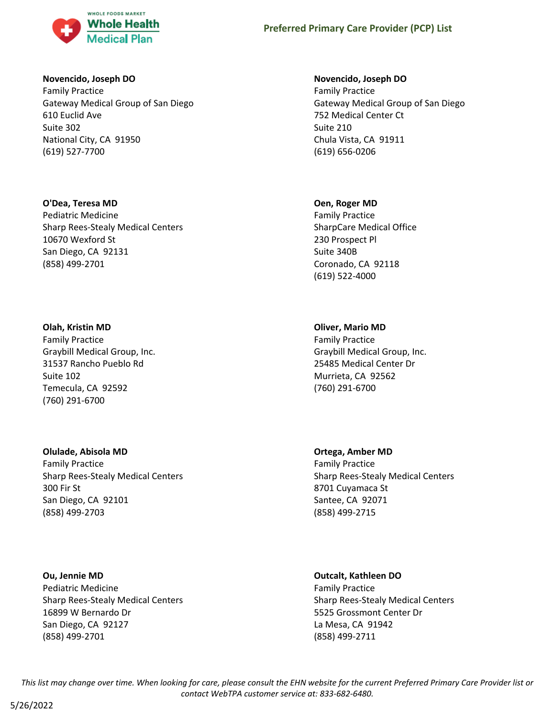

### **Novencido, Joseph DO**

Family Practice Gateway Medical Group of San Diego 610 Euclid Ave Suite 302 National City, CA 91950 (619) 527-7700

### **O'Dea, Teresa MD**

Pediatric Medicine Sharp Rees-Stealy Medical Centers 10670 Wexford St San Diego, CA 92131 (858) 499-2701

#### **Olah, Kristin MD**

Family Practice Graybill Medical Group, Inc. 31537 Rancho Pueblo Rd Suite 102 Temecula, CA 92592 (760) 291-6700

### **Olulade, Abisola MD**

Family Practice Sharp Rees-Stealy Medical Centers 300 Fir St San Diego, CA 92101 (858) 499-2703

**Ou, Jennie MD** Pediatric Medicine Sharp Rees-Stealy Medical Centers 16899 W Bernardo Dr San Diego, CA 92127 (858) 499-2701

### **Novencido, Joseph DO**

Family Practice Gateway Medical Group of San Diego 752 Medical Center Ct Suite 210 Chula Vista, CA 91911 (619) 656-0206

#### **Oen, Roger MD**

Family Practice SharpCare Medical Office 230 Prospect Pl Suite 340B Coronado, CA 92118 (619) 522-4000

### **Oliver, Mario MD**

Family Practice Graybill Medical Group, Inc. 25485 Medical Center Dr Murrieta, CA 92562 (760) 291-6700

# **Ortega, Amber MD**

Family Practice Sharp Rees-Stealy Medical Centers 8701 Cuyamaca St Santee, CA 92071 (858) 499-2715

# **Outcalt, Kathleen DO**

Family Practice Sharp Rees-Stealy Medical Centers 5525 Grossmont Center Dr La Mesa, CA 91942 (858) 499-2711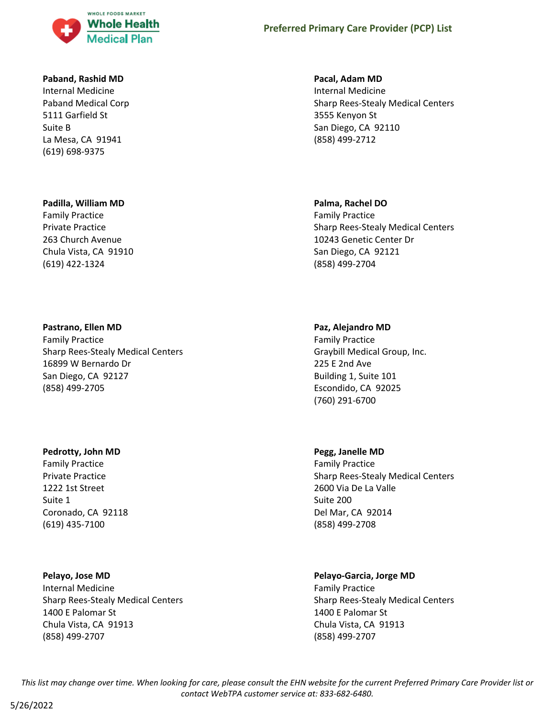

#### **Paband, Rashid MD**

Internal Medicine Paband Medical Corp 5111 Garfield St Suite B La Mesa, CA 91941 (619) 698-9375

#### **Padilla, William MD**

Family Practice Private Practice 263 Church Avenue Chula Vista, CA 91910 (619) 422-1324

#### **Pastrano, Ellen MD**

Family Practice Sharp Rees-Stealy Medical Centers 16899 W Bernardo Dr San Diego, CA 92127 (858) 499-2705

#### **Pedrotty, John MD**

Family Practice Private Practice 1222 1st Street Suite 1 Coronado, CA 92118 (619) 435-7100

#### **Pelayo, Jose MD**

Internal Medicine Sharp Rees-Stealy Medical Centers 1400 E Palomar St Chula Vista, CA 91913 (858) 499-2707

#### **Pacal, Adam MD**

Internal Medicine Sharp Rees-Stealy Medical Centers 3555 Kenyon St San Diego, CA 92110 (858) 499-2712

#### **Palma, Rachel DO**

Family Practice Sharp Rees-Stealy Medical Centers 10243 Genetic Center Dr San Diego, CA 92121 (858) 499-2704

#### **Paz, Alejandro MD**

Family Practice Graybill Medical Group, Inc. 225 E 2nd Ave Building 1, Suite 101 Escondido, CA 92025 (760) 291-6700

#### **Pegg, Janelle MD**

Family Practice Sharp Rees-Stealy Medical Centers 2600 Via De La Valle Suite 200 Del Mar, CA 92014 (858) 499-2708

# **Pelayo-Garcia, Jorge MD**

Family Practice Sharp Rees-Stealy Medical Centers 1400 E Palomar St Chula Vista, CA 91913 (858) 499-2707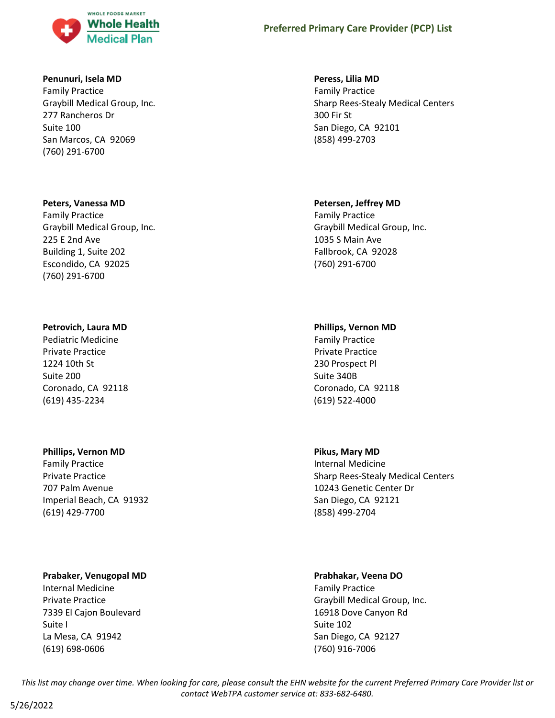

#### **Penunuri, Isela MD**

Family Practice Graybill Medical Group, Inc. 277 Rancheros Dr Suite 100 San Marcos, CA 92069 (760) 291-6700

#### **Peters, Vanessa MD**

Family Practice Graybill Medical Group, Inc. 225 E 2nd Ave Building 1, Suite 202 Escondido, CA 92025 (760) 291-6700

#### **Petrovich, Laura MD**

Pediatric Medicine Private Practice 1224 10th St Suite 200 Coronado, CA 92118 (619) 435-2234

#### **Phillips, Vernon MD**

Family Practice Private Practice 707 Palm Avenue Imperial Beach, CA 91932 (619) 429-7700

### **Prabaker, Venugopal MD**

Internal Medicine Private Practice 7339 El Cajon Boulevard Suite I La Mesa, CA 91942 (619) 698-0606

#### **Peress, Lilia MD**

Family Practice Sharp Rees-Stealy Medical Centers 300 Fir St San Diego, CA 92101 (858) 499-2703

#### **Petersen, Jeffrey MD**

Family Practice Graybill Medical Group, Inc. 1035 S Main Ave Fallbrook, CA 92028 (760) 291-6700

### **Phillips, Vernon MD**

Family Practice Private Practice 230 Prospect Pl Suite 340B Coronado, CA 92118 (619) 522-4000

### **Pikus, Mary MD**

Internal Medicine Sharp Rees-Stealy Medical Centers 10243 Genetic Center Dr San Diego, CA 92121 (858) 499-2704

#### **Prabhakar, Veena DO**

Family Practice Graybill Medical Group, Inc. 16918 Dove Canyon Rd Suite 102 San Diego, CA 92127 (760) 916-7006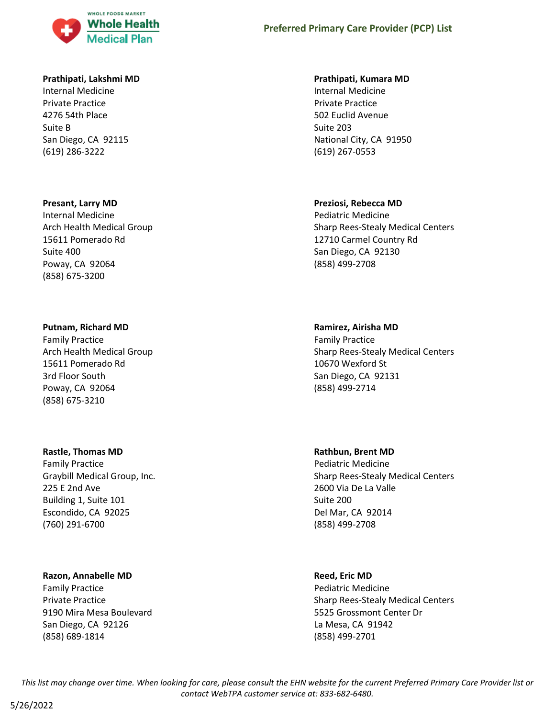

#### **Prathipati, Lakshmi MD**

Internal Medicine Private Practice 4276 54th Place Suite B San Diego, CA 92115 (619) 286-3222

#### **Presant, Larry MD**

Internal Medicine Arch Health Medical Group 15611 Pomerado Rd Suite 400 Poway, CA 92064 (858) 675-3200

### **Putnam, Richard MD**

Family Practice Arch Health Medical Group 15611 Pomerado Rd 3rd Floor South Poway, CA 92064 (858) 675-3210

#### **Rastle, Thomas MD**

Family Practice Graybill Medical Group, Inc. 225 E 2nd Ave Building 1, Suite 101 Escondido, CA 92025 (760) 291-6700

### **Razon, Annabelle MD**

Family Practice Private Practice 9190 Mira Mesa Boulevard San Diego, CA 92126 (858) 689-1814

#### **Prathipati, Kumara MD**

Internal Medicine Private Practice 502 Euclid Avenue Suite 203 National City, CA 91950 (619) 267-0553

### **Preziosi, Rebecca MD**

Pediatric Medicine Sharp Rees-Stealy Medical Centers 12710 Carmel Country Rd San Diego, CA 92130 (858) 499-2708

#### **Ramirez, Airisha MD**

Family Practice Sharp Rees-Stealy Medical Centers 10670 Wexford St San Diego, CA 92131 (858) 499-2714

**Rathbun, Brent MD**

Pediatric Medicine Sharp Rees-Stealy Medical Centers 2600 Via De La Valle Suite 200 Del Mar, CA 92014 (858) 499-2708

### **Reed, Eric MD**

Pediatric Medicine Sharp Rees-Stealy Medical Centers 5525 Grossmont Center Dr La Mesa, CA 91942 (858) 499-2701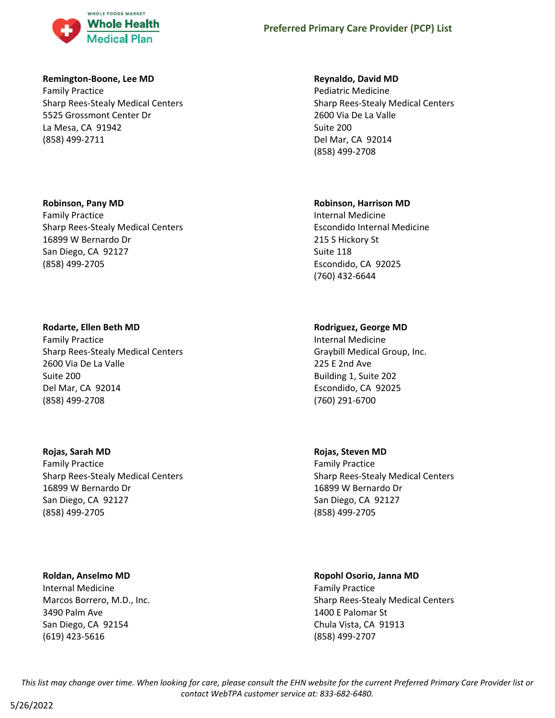

#### **Remington-Boone, Lee MD**

Family Practice Sharp Rees-Stealy Medical Centers 5525 Grossmont Center Dr La Mesa, CA 91942 (858) 499-2711

#### **Robinson, Pany MD**

Family Practice Sharp Rees-Stealy Medical Centers 16899 W Bernardo Dr San Diego, CA 92127 (858) 499-2705

### **Rodarte, Ellen Beth MD**

Family Practice Sharp Rees-Stealy Medical Centers 2600 Via De La Valle Suite 200 Del Mar, CA 92014 (858) 499-2708

### **Rojas, Sarah MD**

Family Practice Sharp Rees-Stealy Medical Centers 16899 W Bernardo Dr San Diego, CA 92127 (858) 499-2705

#### **Roldan, Anselmo MD**

Internal Medicine Marcos Borrero, M.D., Inc. 3490 Palm Ave San Diego, CA 92154 (619) 423-5616

#### **Reynaldo, David MD**

Pediatric Medicine Sharp Rees-Stealy Medical Centers 2600 Via De La Valle Suite 200 Del Mar, CA 92014 (858) 499-2708

#### **Robinson, Harrison MD**

Internal Medicine Escondido Internal Medicine 215 S Hickory St Suite 118 Escondido, CA 92025 (760) 432-6644

### **Rodriguez, George MD**

Internal Medicine Graybill Medical Group, Inc. 225 E 2nd Ave Building 1, Suite 202 Escondido, CA 92025 (760) 291-6700

# **Rojas, Steven MD**

Family Practice Sharp Rees-Stealy Medical Centers 16899 W Bernardo Dr San Diego, CA 92127 (858) 499-2705

# **Ropohl Osorio, Janna MD**

Family Practice Sharp Rees-Stealy Medical Centers 1400 E Palomar St Chula Vista, CA 91913 (858) 499-2707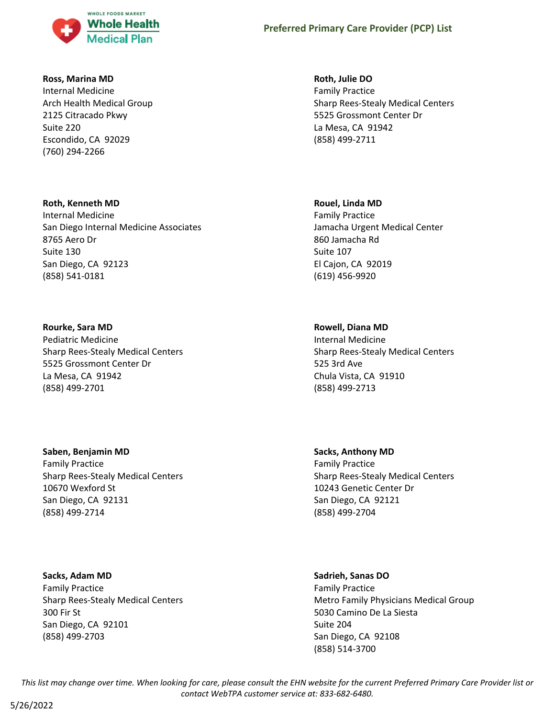

#### **Ross, Marina MD**

Internal Medicine Arch Health Medical Group 2125 Citracado Pkwy Suite 220 Escondido, CA 92029 (760) 294-2266

# **Roth, Kenneth MD**

Internal Medicine San Diego Internal Medicine Associates 8765 Aero Dr Suite 130 San Diego, CA 92123 (858) 541-0181

# **Rourke, Sara MD**

Pediatric Medicine Sharp Rees-Stealy Medical Centers 5525 Grossmont Center Dr La Mesa, CA 91942 (858) 499-2701

# **Saben, Benjamin MD**

Family Practice Sharp Rees-Stealy Medical Centers 10670 Wexford St San Diego, CA 92131 (858) 499-2714

### **Sacks, Adam MD**

Family Practice Sharp Rees-Stealy Medical Centers 300 Fir St San Diego, CA 92101 (858) 499-2703

# **Roth, Julie DO**

Family Practice Sharp Rees-Stealy Medical Centers 5525 Grossmont Center Dr La Mesa, CA 91942 (858) 499-2711

#### **Rouel, Linda MD**

Family Practice Jamacha Urgent Medical Center 860 Jamacha Rd Suite 107 El Cajon, CA 92019 (619) 456-9920

### **Rowell, Diana MD**

Internal Medicine Sharp Rees-Stealy Medical Centers 525 3rd Ave Chula Vista, CA 91910 (858) 499-2713

# **Sacks, Anthony MD** Family Practice Sharp Rees-Stealy Medical Centers 10243 Genetic Center Dr San Diego, CA 92121 (858) 499-2704

### **Sadrieh, Sanas DO**

Family Practice Metro Family Physicians Medical Group 5030 Camino De La Siesta Suite 204 San Diego, CA 92108 (858) 514-3700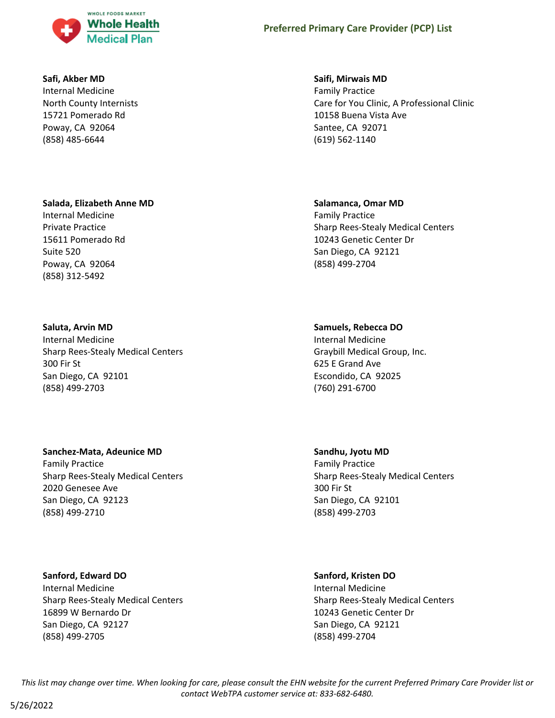

#### **Safi, Akber MD**

Internal Medicine North County Internists 15721 Pomerado Rd Poway, CA 92064 (858) 485-6644

#### **Salada, Elizabeth Anne MD**

Internal Medicine Private Practice 15611 Pomerado Rd Suite 520 Poway, CA 92064 (858) 312-5492

### **Saluta, Arvin MD**

Internal Medicine Sharp Rees-Stealy Medical Centers 300 Fir St San Diego, CA 92101 (858) 499-2703

### **Sanchez-Mata, Adeunice MD**

Family Practice Sharp Rees-Stealy Medical Centers 2020 Genesee Ave San Diego, CA 92123 (858) 499-2710

### **Sanford, Edward DO**

Internal Medicine Sharp Rees-Stealy Medical Centers 16899 W Bernardo Dr San Diego, CA 92127 (858) 499-2705

#### **Saifi, Mirwais MD**

Family Practice Care for You Clinic, A Professional Clinic 10158 Buena Vista Ave Santee, CA 92071 (619) 562-1140

#### **Salamanca, Omar MD**

Family Practice Sharp Rees-Stealy Medical Centers 10243 Genetic Center Dr San Diego, CA 92121 (858) 499-2704

#### **Samuels, Rebecca DO**

Internal Medicine Graybill Medical Group, Inc. 625 E Grand Ave Escondido, CA 92025 (760) 291-6700

#### **Sandhu, Jyotu MD**

Family Practice Sharp Rees-Stealy Medical Centers 300 Fir St San Diego, CA 92101 (858) 499-2703

#### **Sanford, Kristen DO**

Internal Medicine Sharp Rees-Stealy Medical Centers 10243 Genetic Center Dr San Diego, CA 92121 (858) 499-2704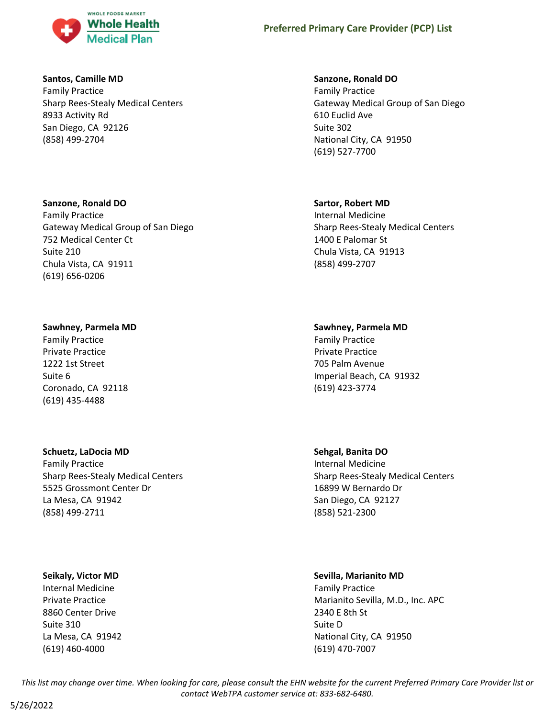

### **Santos, Camille MD**

Family Practice Sharp Rees-Stealy Medical Centers 8933 Activity Rd San Diego, CA 92126 (858) 499-2704

# **Sanzone, Ronald DO**

Family Practice Gateway Medical Group of San Diego 752 Medical Center Ct Suite 210 Chula Vista, CA 91911 (619) 656-0206

# **Sawhney, Parmela MD**

Family Practice Private Practice 1222 1st Street Suite 6 Coronado, CA 92118 (619) 435-4488

# **Schuetz, LaDocia MD**

Family Practice Sharp Rees-Stealy Medical Centers 5525 Grossmont Center Dr La Mesa, CA 91942 (858) 499-2711

### **Seikaly, Victor MD**

Internal Medicine Private Practice 8860 Center Drive Suite 310 La Mesa, CA 91942 (619) 460-4000

### **Sanzone, Ronald DO**

Family Practice Gateway Medical Group of San Diego 610 Euclid Ave Suite 302 National City, CA 91950 (619) 527-7700

# **Sartor, Robert MD**

Internal Medicine Sharp Rees-Stealy Medical Centers 1400 E Palomar St Chula Vista, CA 91913 (858) 499-2707

# **Sawhney, Parmela MD**

Family Practice Private Practice 705 Palm Avenue Imperial Beach, CA 91932 (619) 423-3774

# **Sehgal, Banita DO**

Internal Medicine Sharp Rees-Stealy Medical Centers 16899 W Bernardo Dr San Diego, CA 92127 (858) 521-2300

# **Sevilla, Marianito MD**

Family Practice Marianito Sevilla, M.D., Inc. APC 2340 E 8th St Suite D National City, CA 91950 (619) 470-7007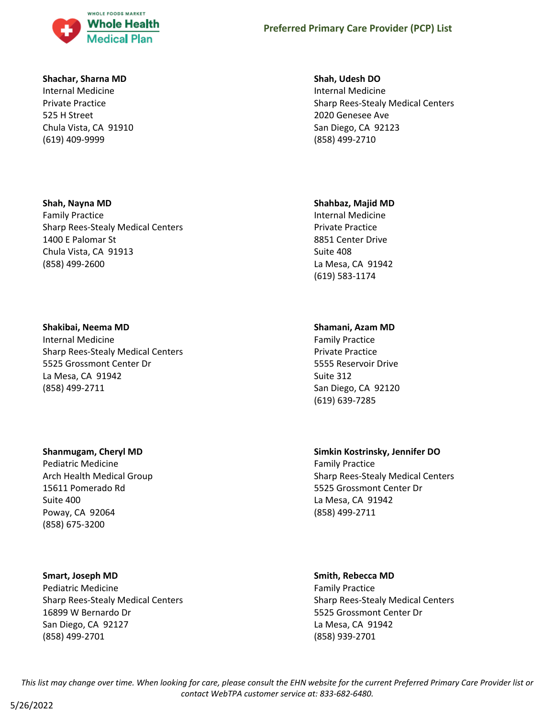

### **Shachar, Sharna MD**

Internal Medicine Private Practice 525 H Street Chula Vista, CA 91910 (619) 409-9999

### **Shah, Nayna MD**

Family Practice Sharp Rees-Stealy Medical Centers 1400 E Palomar St Chula Vista, CA 91913 (858) 499-2600

### **Shakibai, Neema MD**

Internal Medicine Sharp Rees-Stealy Medical Centers 5525 Grossmont Center Dr La Mesa, CA 91942 (858) 499-2711

### **Shanmugam, Cheryl MD**

Pediatric Medicine Arch Health Medical Group 15611 Pomerado Rd Suite 400 Poway, CA 92064 (858) 675-3200

### **Smart, Joseph MD**

Pediatric Medicine Sharp Rees-Stealy Medical Centers 16899 W Bernardo Dr San Diego, CA 92127 (858) 499-2701

### **Shah, Udesh DO**

Internal Medicine Sharp Rees-Stealy Medical Centers 2020 Genesee Ave San Diego, CA 92123 (858) 499-2710

#### **Shahbaz, Majid MD**

Internal Medicine Private Practice 8851 Center Drive Suite 408 La Mesa, CA 91942 (619) 583-1174

### **Shamani, Azam MD**

Family Practice Private Practice 5555 Reservoir Drive Suite 312 San Diego, CA 92120 (619) 639-7285

# **Simkin Kostrinsky, Jennifer DO**

Family Practice Sharp Rees-Stealy Medical Centers 5525 Grossmont Center Dr La Mesa, CA 91942 (858) 499-2711

#### **Smith, Rebecca MD**

Family Practice Sharp Rees-Stealy Medical Centers 5525 Grossmont Center Dr La Mesa, CA 91942 (858) 939-2701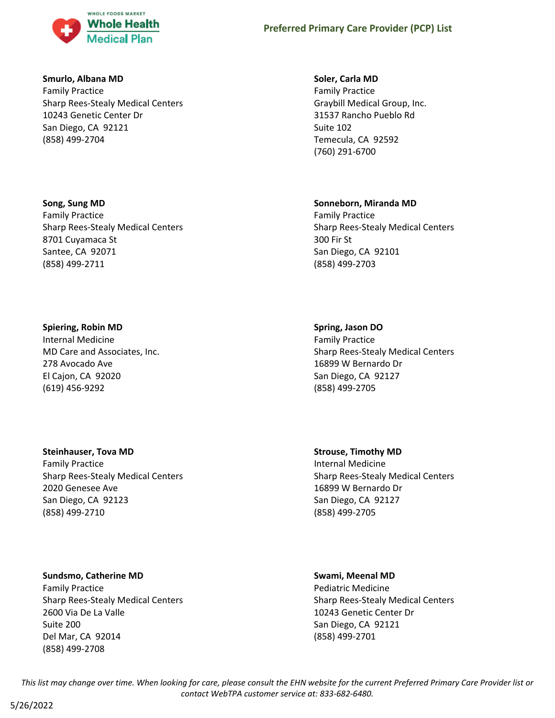

#### **Smurlo, Albana MD**

Family Practice Sharp Rees-Stealy Medical Centers 10243 Genetic Center Dr San Diego, CA 92121 (858) 499-2704

### **Song, Sung MD**

Family Practice Sharp Rees-Stealy Medical Centers 8701 Cuyamaca St Santee, CA 92071 (858) 499-2711

# **Spiering, Robin MD**

Internal Medicine MD Care and Associates, Inc. 278 Avocado Ave El Cajon, CA 92020 (619) 456-9292

# **Steinhauser, Tova MD**

Family Practice Sharp Rees-Stealy Medical Centers 2020 Genesee Ave San Diego, CA 92123 (858) 499-2710

# **Sundsmo, Catherine MD**

Family Practice Sharp Rees-Stealy Medical Centers 2600 Via De La Valle Suite 200 Del Mar, CA 92014 (858) 499-2708

### **Soler, Carla MD**

Family Practice Graybill Medical Group, Inc. 31537 Rancho Pueblo Rd Suite 102 Temecula, CA 92592 (760) 291-6700

# **Sonneborn, Miranda MD**

Family Practice Sharp Rees-Stealy Medical Centers 300 Fir St San Diego, CA 92101 (858) 499-2703

# **Spring, Jason DO**

Family Practice Sharp Rees-Stealy Medical Centers 16899 W Bernardo Dr San Diego, CA 92127 (858) 499-2705

**Strouse, Timothy MD** Internal Medicine Sharp Rees-Stealy Medical Centers 16899 W Bernardo Dr San Diego, CA 92127 (858) 499-2705

### **Swami, Meenal MD**

Pediatric Medicine Sharp Rees-Stealy Medical Centers 10243 Genetic Center Dr San Diego, CA 92121 (858) 499-2701

*This list may change over time. When looking for care, please consult the EHN website for the current Preferred Primary Care Provider list or contact WebTPA customer service at: 833-682-6480.*

5/26/2022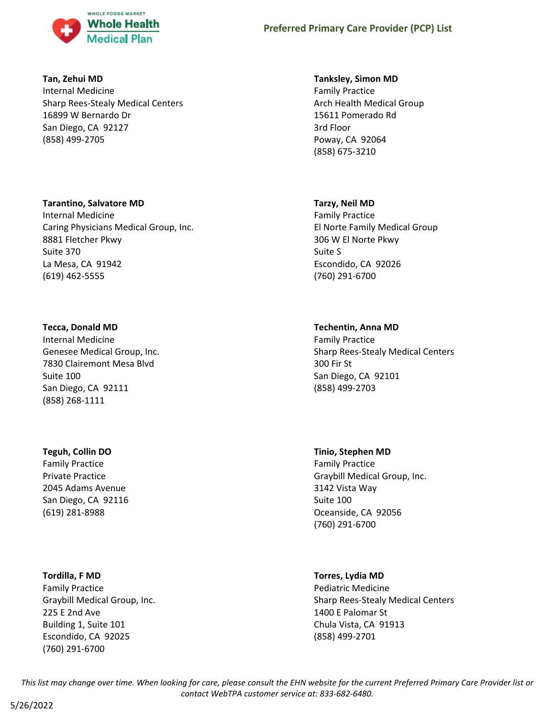

### **Tan, Zehui MD**

Internal Medicine Sharp Rees-Stealy Medical Centers 16899 W Bernardo Dr San Diego, CA 92127 (858) 499-2705

### **Tarantino, Salvatore MD**

Internal Medicine Caring Physicians Medical Group, Inc. 8881 Fletcher Pkwy Suite 370 La Mesa, CA 91942 (619) 462-5555

# **Tecca, Donald MD**

Internal Medicine Genesee Medical Group, Inc. 7830 Clairemont Mesa Blvd Suite 100 San Diego, CA 92111 (858) 268-1111

### **Teguh, Collin DO**

Family Practice Private Practice 2045 Adams Avenue San Diego, CA 92116 (619) 281-8988

### **Tordilla, F MD**

Family Practice Graybill Medical Group, Inc. 225 E 2nd Ave Building 1, Suite 101 Escondido, CA 92025 (760) 291-6700

# **Tanksley, Simon MD**

Family Practice Arch Health Medical Group 15611 Pomerado Rd 3rd Floor Poway, CA 92064 (858) 675-3210

# **Tarzy, Neil MD**

Family Practice El Norte Family Medical Group 306 W El Norte Pkwy Suite S Escondido, CA 92026 (760) 291-6700

# **Techentin, Anna MD**

Family Practice Sharp Rees-Stealy Medical Centers 300 Fir St San Diego, CA 92101 (858) 499-2703

### **Tinio, Stephen MD**

Family Practice Graybill Medical Group, Inc. 3142 Vista Way Suite 100 Oceanside, CA 92056 (760) 291-6700

# **Torres, Lydia MD**

Pediatric Medicine Sharp Rees-Stealy Medical Centers 1400 E Palomar St Chula Vista, CA 91913 (858) 499-2701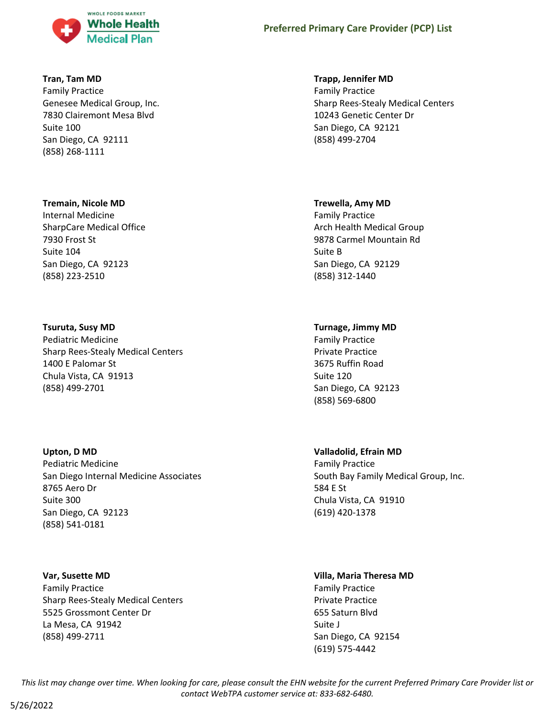

#### **Tran, Tam MD**

Family Practice Genesee Medical Group, Inc. 7830 Clairemont Mesa Blvd Suite 100 San Diego, CA 92111 (858) 268-1111

#### **Tremain, Nicole MD**

Internal Medicine SharpCare Medical Office 7930 Frost St Suite 104 San Diego, CA 92123 (858) 223-2510

#### **Tsuruta, Susy MD**

Pediatric Medicine Sharp Rees-Stealy Medical Centers 1400 E Palomar St Chula Vista, CA 91913 (858) 499-2701

#### **Upton, D MD**

Pediatric Medicine San Diego Internal Medicine Associates 8765 Aero Dr Suite 300 San Diego, CA 92123 (858) 541-0181

#### **Var, Susette MD**

Family Practice Sharp Rees-Stealy Medical Centers 5525 Grossmont Center Dr La Mesa, CA 91942 (858) 499-2711

#### **Trapp, Jennifer MD**

Family Practice Sharp Rees-Stealy Medical Centers 10243 Genetic Center Dr San Diego, CA 92121 (858) 499-2704

#### **Trewella, Amy MD**

Family Practice Arch Health Medical Group 9878 Carmel Mountain Rd Suite B San Diego, CA 92129 (858) 312-1440

### **Turnage, Jimmy MD**

Family Practice Private Practice 3675 Ruffin Road Suite 120 San Diego, CA 92123 (858) 569-6800

### **Valladolid, Efrain MD**

Family Practice South Bay Family Medical Group, Inc. 584 E St Chula Vista, CA 91910 (619) 420-1378

# **Villa, Maria Theresa MD**

Family Practice Private Practice 655 Saturn Blvd Suite J San Diego, CA 92154 (619) 575-4442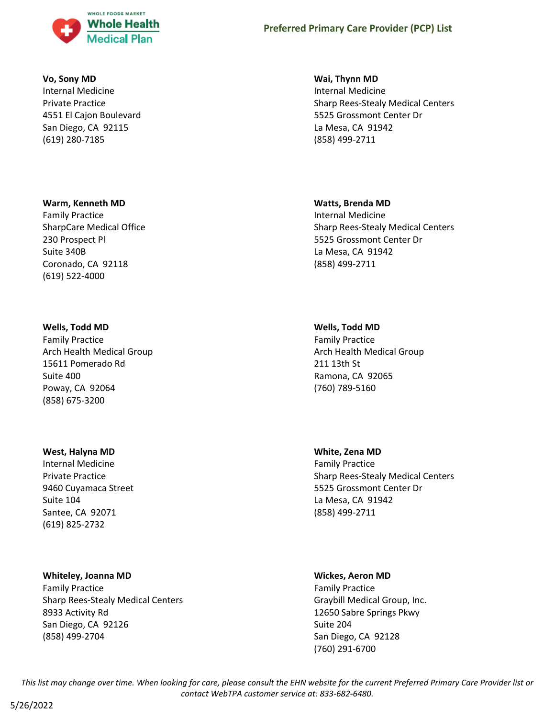

#### **Vo, Sony MD**

Internal Medicine Private Practice 4551 El Cajon Boulevard San Diego, CA 92115 (619) 280-7185

#### **Warm, Kenneth MD**

Family Practice SharpCare Medical Office 230 Prospect Pl Suite 340B Coronado, CA 92118 (619) 522-4000

#### **Wells, Todd MD**

Family Practice Arch Health Medical Group 15611 Pomerado Rd Suite 400 Poway, CA 92064 (858) 675-3200

#### **West, Halyna MD**

Internal Medicine Private Practice 9460 Cuyamaca Street Suite 104 Santee, CA 92071 (619) 825-2732

#### **Whiteley, Joanna MD**

Family Practice Sharp Rees-Stealy Medical Centers 8933 Activity Rd San Diego, CA 92126 (858) 499-2704

### **Wai, Thynn MD**

Internal Medicine Sharp Rees-Stealy Medical Centers 5525 Grossmont Center Dr La Mesa, CA 91942 (858) 499-2711

#### **Watts, Brenda MD**

Internal Medicine Sharp Rees-Stealy Medical Centers 5525 Grossmont Center Dr La Mesa, CA 91942 (858) 499-2711

#### **Wells, Todd MD**

Family Practice Arch Health Medical Group 211 13th St Ramona, CA 92065 (760) 789-5160

#### **White, Zena MD**

Family Practice Sharp Rees-Stealy Medical Centers 5525 Grossmont Center Dr La Mesa, CA 91942 (858) 499-2711

#### **Wickes, Aeron MD**

Family Practice Graybill Medical Group, Inc. 12650 Sabre Springs Pkwy Suite 204 San Diego, CA 92128 (760) 291-6700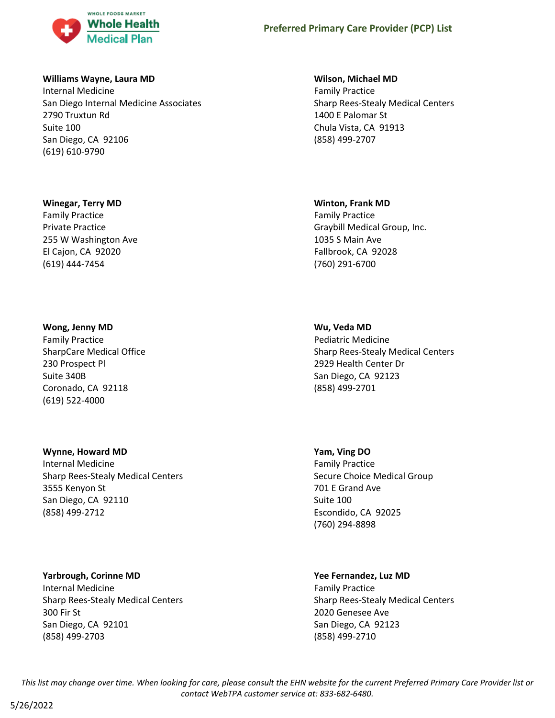

#### **Williams Wayne, Laura MD**

Internal Medicine San Diego Internal Medicine Associates 2790 Truxtun Rd Suite 100 San Diego, CA 92106 (619) 610-9790

#### **Winegar, Terry MD**

Family Practice Private Practice 255 W Washington Ave El Cajon, CA 92020 (619) 444-7454

### **Wong, Jenny MD**

Family Practice SharpCare Medical Office 230 Prospect Pl Suite 340B Coronado, CA 92118 (619) 522-4000

### **Wynne, Howard MD**

Internal Medicine Sharp Rees-Stealy Medical Centers 3555 Kenyon St San Diego, CA 92110 (858) 499-2712

### **Yarbrough, Corinne MD**

Internal Medicine Sharp Rees-Stealy Medical Centers 300 Fir St San Diego, CA 92101 (858) 499-2703

#### **Wilson, Michael MD**

Family Practice Sharp Rees-Stealy Medical Centers 1400 E Palomar St Chula Vista, CA 91913 (858) 499-2707

#### **Winton, Frank MD**

Family Practice Graybill Medical Group, Inc. 1035 S Main Ave Fallbrook, CA 92028 (760) 291-6700

### **Wu, Veda MD**

Pediatric Medicine Sharp Rees-Stealy Medical Centers 2929 Health Center Dr San Diego, CA 92123 (858) 499-2701

### **Yam, Ving DO**

Family Practice Secure Choice Medical Group 701 E Grand Ave Suite 100 Escondido, CA 92025 (760) 294-8898

#### **Yee Fernandez, Luz MD**

Family Practice Sharp Rees-Stealy Medical Centers 2020 Genesee Ave San Diego, CA 92123 (858) 499-2710